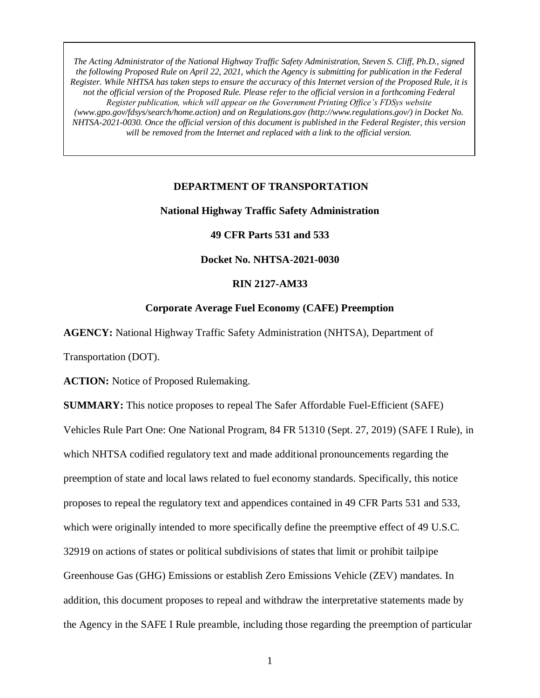#### **DEPARTMENT OF TRANSPORTATION**

### **National Highway Traffic Safety Administration**

### **49 CFR Parts 531 and 533**

### **Docket No. NHTSA-2021-0030**

#### **RIN 2127-AM33**

### **Corporate Average Fuel Economy (CAFE) Preemption**

**AGENCY:** National Highway Traffic Safety Administration (NHTSA), Department of

Transportation (DOT).

**ACTION:** Notice of Proposed Rulemaking.

**SUMMARY:** This notice proposes to repeal The Safer Affordable Fuel-Efficient (SAFE) Vehicles Rule Part One: One National Program, 84 FR 51310 (Sept. 27, 2019) (SAFE I Rule), in which NHTSA codified regulatory text and made additional pronouncements regarding the preemption of state and local laws related to fuel economy standards. Specifically, this notice proposes to repeal the regulatory text and appendices contained in 49 CFR Parts 531 and 533, which were originally intended to more specifically define the preemptive effect of 49 U.S.C. 32919 on actions of states or political subdivisions of states that limit or prohibit tailpipe Greenhouse Gas (GHG) Emissions or establish Zero Emissions Vehicle (ZEV) mandates. In addition, this document proposes to repeal and withdraw the interpretative statements made by the Agency in the SAFE I Rule preamble, including those regarding the preemption of particular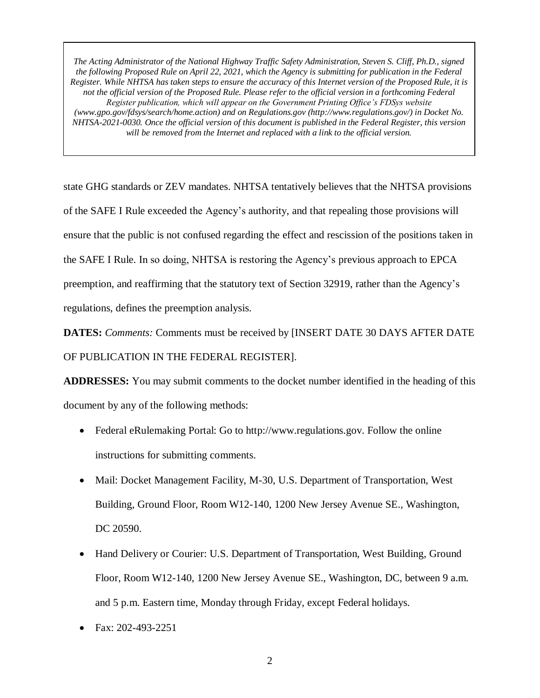state GHG standards or ZEV mandates. NHTSA tentatively believes that the NHTSA provisions of the SAFE I Rule exceeded the Agency's authority, and that repealing those provisions will ensure that the public is not confused regarding the effect and rescission of the positions taken in the SAFE I Rule. In so doing, NHTSA is restoring the Agency's previous approach to EPCA preemption, and reaffirming that the statutory text of Section 32919, rather than the Agency's regulations, defines the preemption analysis.

**DATES:** *Comments:* Comments must be received by [INSERT DATE 30 DAYS AFTER DATE OF PUBLICATION IN THE FEDERAL REGISTER].

**ADDRESSES:** You may submit comments to the docket number identified in the heading of this document by any of the following methods:

- Federal eRulemaking Portal: Go to http://www.regulations.gov. Follow the online instructions for submitting comments.
- Mail: Docket Management Facility, M-30, U.S. Department of Transportation, West Building, Ground Floor, Room W12-140, 1200 New Jersey Avenue SE., Washington, DC 20590.
- Hand Delivery or Courier: U.S. Department of Transportation, West Building, Ground Floor, Room W12-140, 1200 New Jersey Avenue SE., Washington, DC, between 9 a.m. and 5 p.m. Eastern time, Monday through Friday, except Federal holidays.
- Fax: 202-493-2251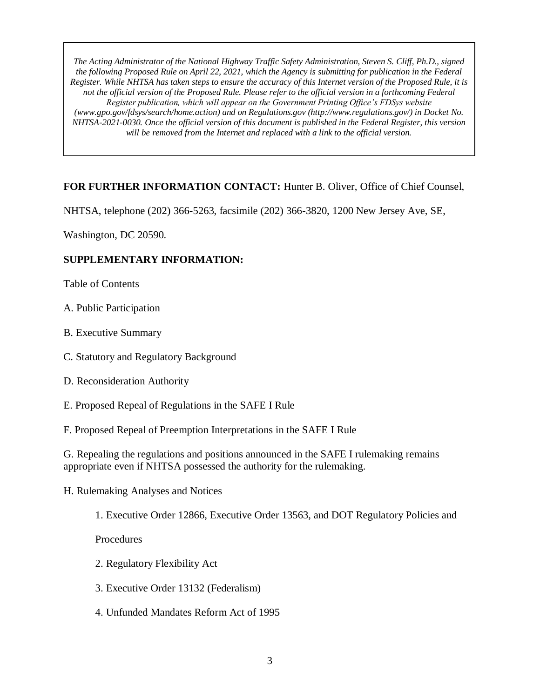# **FOR FURTHER INFORMATION CONTACT:** Hunter B. Oliver, Office of Chief Counsel,

NHTSA, telephone (202) 366-5263, facsimile (202) 366-3820, 1200 New Jersey Ave, SE,

Washington, DC 20590.

### **SUPPLEMENTARY INFORMATION:**

Table of Contents

- A. Public Participation
- B. Executive Summary
- C. Statutory and Regulatory Background
- D. Reconsideration Authority
- E. Proposed Repeal of Regulations in the SAFE I Rule
- F. Proposed Repeal of Preemption Interpretations in the SAFE I Rule

G. Repealing the regulations and positions announced in the SAFE I rulemaking remains appropriate even if NHTSA possessed the authority for the rulemaking.

- H. Rulemaking Analyses and Notices
	- 1. Executive Order 12866, Executive Order 13563, and DOT Regulatory Policies and

Procedures

- 2. Regulatory Flexibility Act
- 3. Executive Order 13132 (Federalism)
- 4. Unfunded Mandates Reform Act of 1995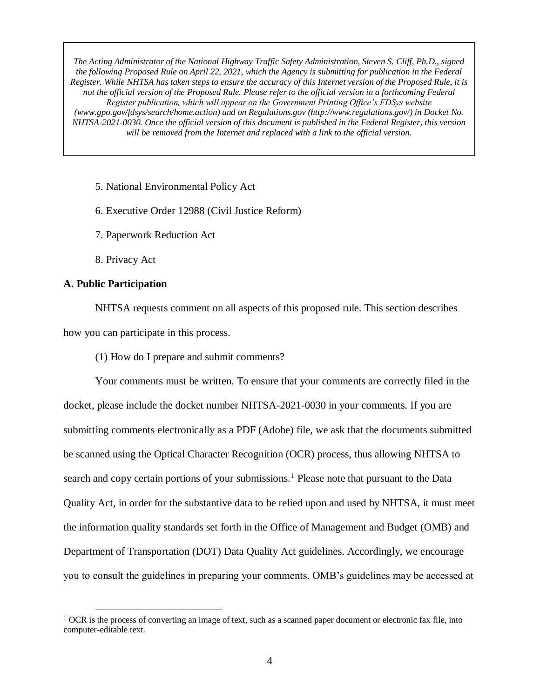5. National Environmental Policy Act

6. Executive Order 12988 (Civil Justice Reform)

7. Paperwork Reduction Act

8. Privacy Act

#### **A. Public Participation**

 $\overline{a}$ 

NHTSA requests comment on all aspects of this proposed rule. This section describes how you can participate in this process.

(1) How do I prepare and submit comments?

Your comments must be written. To ensure that your comments are correctly filed in the docket, please include the docket number NHTSA-2021-0030 in your comments. If you are submitting comments electronically as a PDF (Adobe) file, we ask that the documents submitted be scanned using the Optical Character Recognition (OCR) process, thus allowing NHTSA to search and copy certain portions of your submissions.<sup>1</sup> Please note that pursuant to the Data Quality Act, in order for the substantive data to be relied upon and used by NHTSA, it must meet the information quality standards set forth in the Office of Management and Budget (OMB) and Department of Transportation (DOT) Data Quality Act guidelines. Accordingly, we encourage you to consult the guidelines in preparing your comments. OMB's guidelines may be accessed at

<sup>&</sup>lt;sup>1</sup> OCR is the process of converting an image of text, such as a scanned paper document or electronic fax file, into computer-editable text.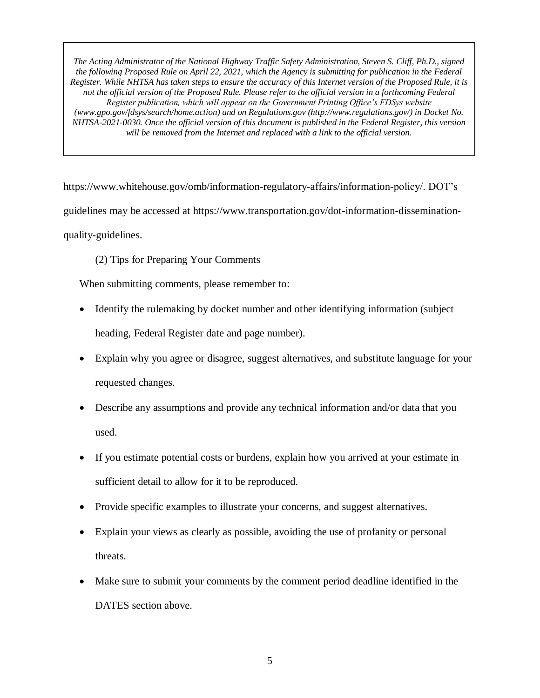https://www.whitehouse.gov/omb/information-regulatory-affairs/information-policy/. DOT's guidelines may be accessed at https://www.transportation.gov/dot-information-disseminationquality-guidelines.

# (2) Tips for Preparing Your Comments

When submitting comments, please remember to:

- Identify the rulemaking by docket number and other identifying information (subject heading, Federal Register date and page number).
- Explain why you agree or disagree, suggest alternatives, and substitute language for your requested changes.
- Describe any assumptions and provide any technical information and/or data that you used.
- If you estimate potential costs or burdens, explain how you arrived at your estimate in sufficient detail to allow for it to be reproduced.
- Provide specific examples to illustrate your concerns, and suggest alternatives.
- Explain your views as clearly as possible, avoiding the use of profanity or personal threats.
- Make sure to submit your comments by the comment period deadline identified in the DATES section above.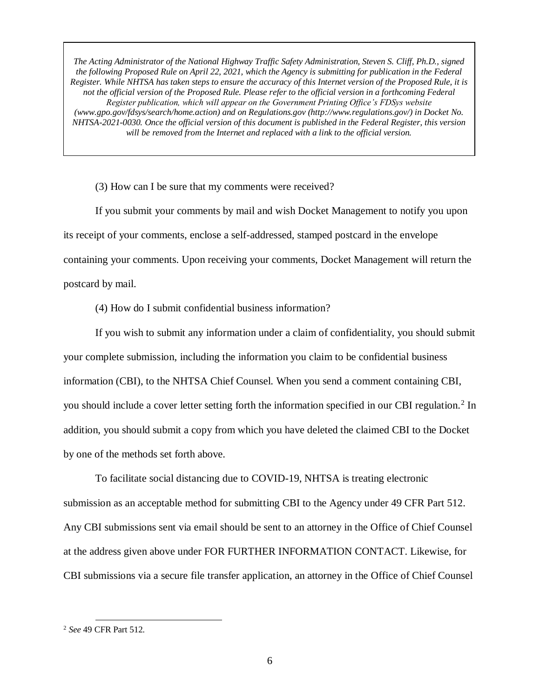(3) How can I be sure that my comments were received?

If you submit your comments by mail and wish Docket Management to notify you upon its receipt of your comments, enclose a self-addressed, stamped postcard in the envelope containing your comments. Upon receiving your comments, Docket Management will return the postcard by mail.

(4) How do I submit confidential business information?

If you wish to submit any information under a claim of confidentiality, you should submit your complete submission, including the information you claim to be confidential business information (CBI), to the NHTSA Chief Counsel. When you send a comment containing CBI, you should include a cover letter setting forth the information specified in our CBI regulation.<sup>2</sup> In addition, you should submit a copy from which you have deleted the claimed CBI to the Docket by one of the methods set forth above.

To facilitate social distancing due to COVID-19, NHTSA is treating electronic submission as an acceptable method for submitting CBI to the Agency under 49 CFR Part 512. Any CBI submissions sent via email should be sent to an attorney in the Office of Chief Counsel at the address given above under FOR FURTHER INFORMATION CONTACT. Likewise, for CBI submissions via a secure file transfer application, an attorney in the Office of Chief Counsel

<sup>2</sup> *See* 49 CFR Part 512.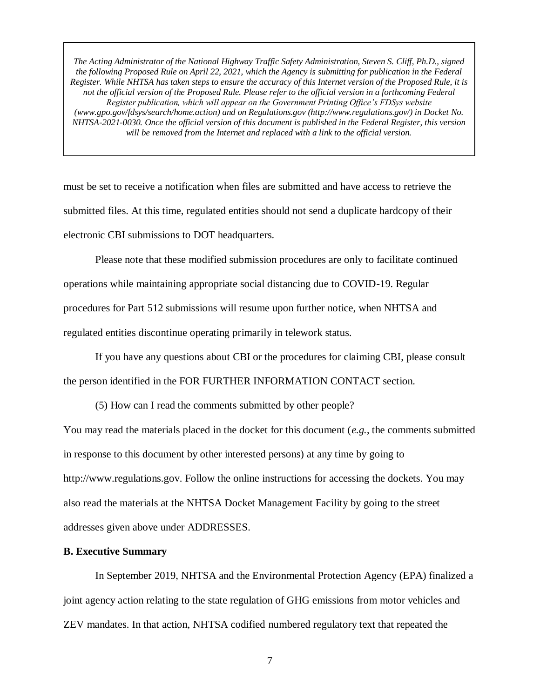must be set to receive a notification when files are submitted and have access to retrieve the submitted files. At this time, regulated entities should not send a duplicate hardcopy of their electronic CBI submissions to DOT headquarters.

Please note that these modified submission procedures are only to facilitate continued operations while maintaining appropriate social distancing due to COVID-19. Regular procedures for Part 512 submissions will resume upon further notice, when NHTSA and regulated entities discontinue operating primarily in telework status.

If you have any questions about CBI or the procedures for claiming CBI, please consult the person identified in the FOR FURTHER INFORMATION CONTACT section.

(5) How can I read the comments submitted by other people?

You may read the materials placed in the docket for this document (*e.g.*, the comments submitted in response to this document by other interested persons) at any time by going to http://www.regulations.gov. Follow the online instructions for accessing the dockets. You may also read the materials at the NHTSA Docket Management Facility by going to the street addresses given above under ADDRESSES.

### **B. Executive Summary**

In September 2019, NHTSA and the Environmental Protection Agency (EPA) finalized a joint agency action relating to the state regulation of GHG emissions from motor vehicles and ZEV mandates. In that action, NHTSA codified numbered regulatory text that repeated the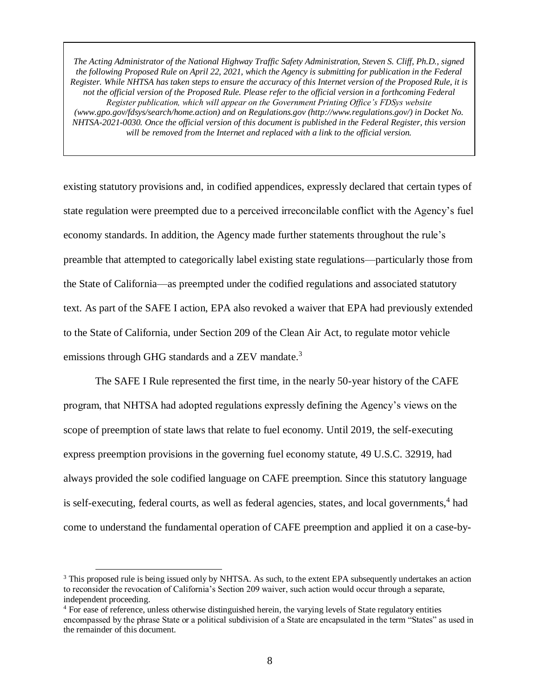existing statutory provisions and, in codified appendices, expressly declared that certain types of state regulation were preempted due to a perceived irreconcilable conflict with the Agency's fuel economy standards. In addition, the Agency made further statements throughout the rule's preamble that attempted to categorically label existing state regulations—particularly those from the State of California—as preempted under the codified regulations and associated statutory text. As part of the SAFE I action, EPA also revoked a waiver that EPA had previously extended to the State of California, under Section 209 of the Clean Air Act, to regulate motor vehicle emissions through GHG standards and a ZEV mandate.<sup>3</sup>

The SAFE I Rule represented the first time, in the nearly 50-year history of the CAFE program, that NHTSA had adopted regulations expressly defining the Agency's views on the scope of preemption of state laws that relate to fuel economy. Until 2019, the self-executing express preemption provisions in the governing fuel economy statute, 49 U.S.C. 32919, had always provided the sole codified language on CAFE preemption. Since this statutory language is self-executing, federal courts, as well as federal agencies, states, and local governments,<sup>4</sup> had come to understand the fundamental operation of CAFE preemption and applied it on a case-by-

<sup>3</sup> This proposed rule is being issued only by NHTSA. As such, to the extent EPA subsequently undertakes an action to reconsider the revocation of California's Section 209 waiver, such action would occur through a separate, independent proceeding.

<sup>4</sup> For ease of reference, unless otherwise distinguished herein, the varying levels of State regulatory entities encompassed by the phrase State or a political subdivision of a State are encapsulated in the term "States" as used in the remainder of this document.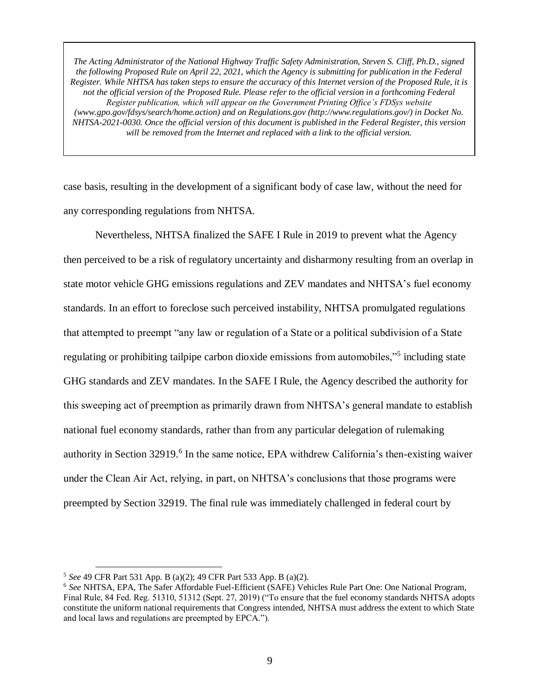case basis, resulting in the development of a significant body of case law, without the need for any corresponding regulations from NHTSA.

Nevertheless, NHTSA finalized the SAFE I Rule in 2019 to prevent what the Agency then perceived to be a risk of regulatory uncertainty and disharmony resulting from an overlap in state motor vehicle GHG emissions regulations and ZEV mandates and NHTSA's fuel economy standards. In an effort to foreclose such perceived instability, NHTSA promulgated regulations that attempted to preempt "any law or regulation of a State or a political subdivision of a State regulating or prohibiting tailpipe carbon dioxide emissions from automobiles,"<sup>5</sup> including state GHG standards and ZEV mandates. In the SAFE I Rule, the Agency described the authority for this sweeping act of preemption as primarily drawn from NHTSA's general mandate to establish national fuel economy standards, rather than from any particular delegation of rulemaking authority in Section 32919.<sup>6</sup> In the same notice, EPA withdrew California's then-existing waiver under the Clean Air Act, relying, in part, on NHTSA's conclusions that those programs were preempted by Section 32919. The final rule was immediately challenged in federal court by

<sup>5</sup> *See* 49 CFR Part 531 App. B (a)(2); 49 CFR Part 533 App. B (a)(2).

<sup>6</sup> *See* NHTSA, EPA, The Safer Affordable Fuel-Efficient (SAFE) Vehicles Rule Part One: One National Program, Final Rule, 84 Fed. Reg. 51310, 51312 (Sept. 27, 2019) ("To ensure that the fuel economy standards NHTSA adopts constitute the uniform national requirements that Congress intended, NHTSA must address the extent to which State and local laws and regulations are preempted by EPCA.").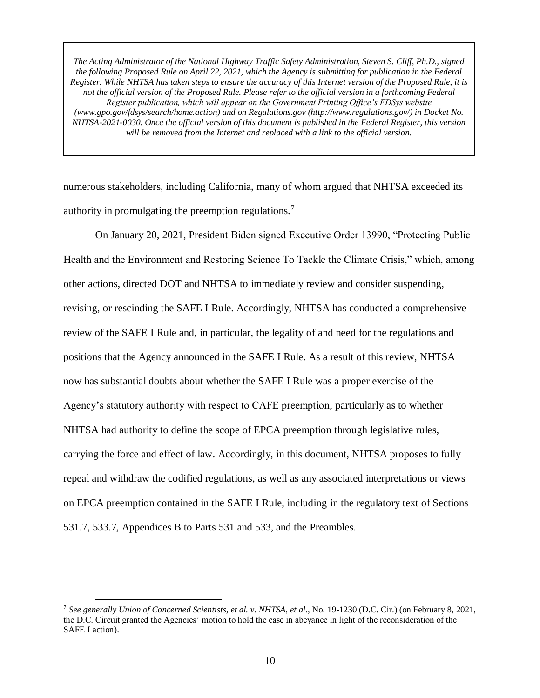numerous stakeholders, including California, many of whom argued that NHTSA exceeded its authority in promulgating the preemption regulations.<sup>7</sup>

On January 20, 2021, President Biden signed Executive Order 13990, "Protecting Public Health and the Environment and Restoring Science To Tackle the Climate Crisis," which, among other actions, directed DOT and NHTSA to immediately review and consider suspending, revising, or rescinding the SAFE I Rule. Accordingly, NHTSA has conducted a comprehensive review of the SAFE I Rule and, in particular, the legality of and need for the regulations and positions that the Agency announced in the SAFE I Rule. As a result of this review, NHTSA now has substantial doubts about whether the SAFE I Rule was a proper exercise of the Agency's statutory authority with respect to CAFE preemption, particularly as to whether NHTSA had authority to define the scope of EPCA preemption through legislative rules, carrying the force and effect of law. Accordingly, in this document, NHTSA proposes to fully repeal and withdraw the codified regulations, as well as any associated interpretations or views on EPCA preemption contained in the SAFE I Rule, including in the regulatory text of Sections 531.7, 533.7, Appendices B to Parts 531 and 533, and the Preambles.

<sup>7</sup> *See generally Union of Concerned Scientists, et al. v. NHTSA, et al*., No. 19-1230 (D.C. Cir.) (on February 8, 2021, the D.C. Circuit granted the Agencies' motion to hold the case in abeyance in light of the reconsideration of the SAFE I action).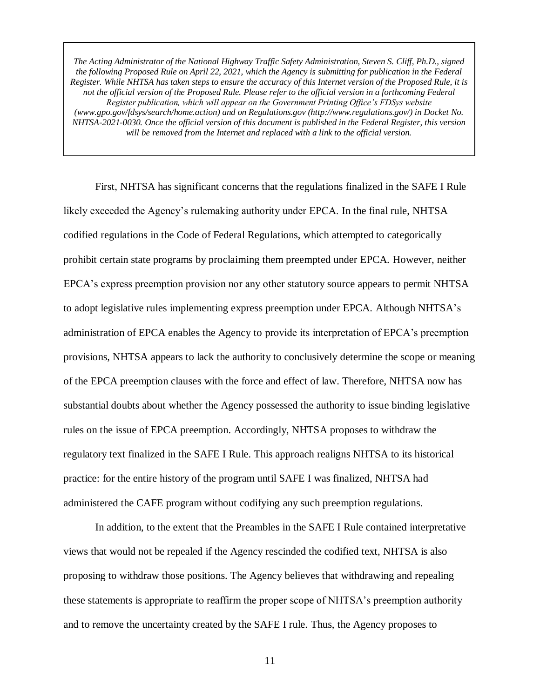First, NHTSA has significant concerns that the regulations finalized in the SAFE I Rule likely exceeded the Agency's rulemaking authority under EPCA. In the final rule, NHTSA codified regulations in the Code of Federal Regulations, which attempted to categorically prohibit certain state programs by proclaiming them preempted under EPCA. However, neither EPCA's express preemption provision nor any other statutory source appears to permit NHTSA to adopt legislative rules implementing express preemption under EPCA. Although NHTSA's administration of EPCA enables the Agency to provide its interpretation of EPCA's preemption provisions, NHTSA appears to lack the authority to conclusively determine the scope or meaning of the EPCA preemption clauses with the force and effect of law. Therefore, NHTSA now has substantial doubts about whether the Agency possessed the authority to issue binding legislative rules on the issue of EPCA preemption. Accordingly, NHTSA proposes to withdraw the regulatory text finalized in the SAFE I Rule. This approach realigns NHTSA to its historical practice: for the entire history of the program until SAFE I was finalized, NHTSA had administered the CAFE program without codifying any such preemption regulations.

In addition, to the extent that the Preambles in the SAFE I Rule contained interpretative views that would not be repealed if the Agency rescinded the codified text, NHTSA is also proposing to withdraw those positions. The Agency believes that withdrawing and repealing these statements is appropriate to reaffirm the proper scope of NHTSA's preemption authority and to remove the uncertainty created by the SAFE I rule. Thus, the Agency proposes to

11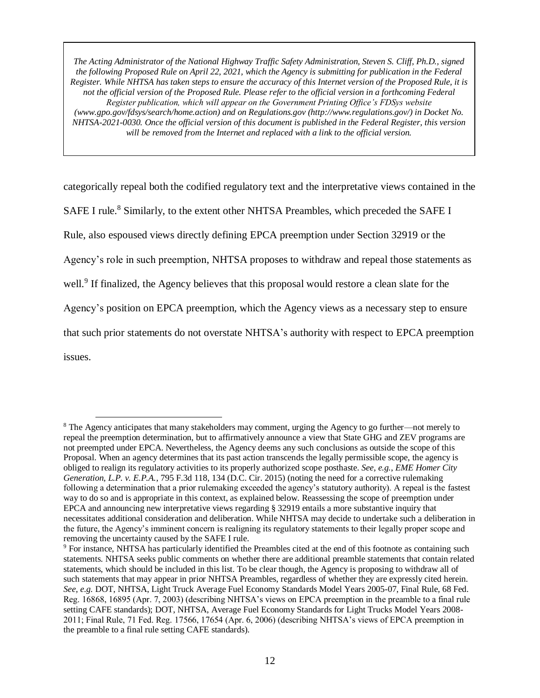categorically repeal both the codified regulatory text and the interpretative views contained in the SAFE I rule.<sup>8</sup> Similarly, to the extent other NHTSA Preambles, which preceded the SAFE I Rule, also espoused views directly defining EPCA preemption under Section 32919 or the Agency's role in such preemption, NHTSA proposes to withdraw and repeal those statements as well.<sup>9</sup> If finalized, the Agency believes that this proposal would restore a clean slate for the Agency's position on EPCA preemption, which the Agency views as a necessary step to ensure that such prior statements do not overstate NHTSA's authority with respect to EPCA preemption issues.

<sup>8</sup> The Agency anticipates that many stakeholders may comment, urging the Agency to go further—not merely to repeal the preemption determination, but to affirmatively announce a view that State GHG and ZEV programs are not preempted under EPCA. Nevertheless, the Agency deems any such conclusions as outside the scope of this Proposal. When an agency determines that its past action transcends the legally permissible scope, the agency is obliged to realign its regulatory activities to its properly authorized scope posthaste. *See, e.g.*, *EME Homer City Generation, L.P. v. E.P.A.*, 795 F.3d 118, 134 (D.C. Cir. 2015) (noting the need for a corrective rulemaking following a determination that a prior rulemaking exceeded the agency's statutory authority). A repeal is the fastest way to do so and is appropriate in this context, as explained below. Reassessing the scope of preemption under EPCA and announcing new interpretative views regarding § 32919 entails a more substantive inquiry that necessitates additional consideration and deliberation. While NHTSA may decide to undertake such a deliberation in the future, the Agency's imminent concern is realigning its regulatory statements to their legally proper scope and removing the uncertainty caused by the SAFE I rule.

<sup>9</sup> For instance, NHTSA has particularly identified the Preambles cited at the end of this footnote as containing such statements. NHTSA seeks public comments on whether there are additional preamble statements that contain related statements, which should be included in this list. To be clear though, the Agency is proposing to withdraw all of such statements that may appear in prior NHTSA Preambles, regardless of whether they are expressly cited herein. *See, e.g.* DOT, NHTSA, Light Truck Average Fuel Economy Standards Model Years 2005-07, Final Rule, 68 Fed. Reg. 16868, 16895 (Apr. 7, 2003) (describing NHTSA's views on EPCA preemption in the preamble to a final rule setting CAFE standards); DOT, NHTSA, Average Fuel Economy Standards for Light Trucks Model Years 2008- 2011; Final Rule, 71 Fed. Reg. 17566, 17654 (Apr. 6, 2006) (describing NHTSA's views of EPCA preemption in the preamble to a final rule setting CAFE standards).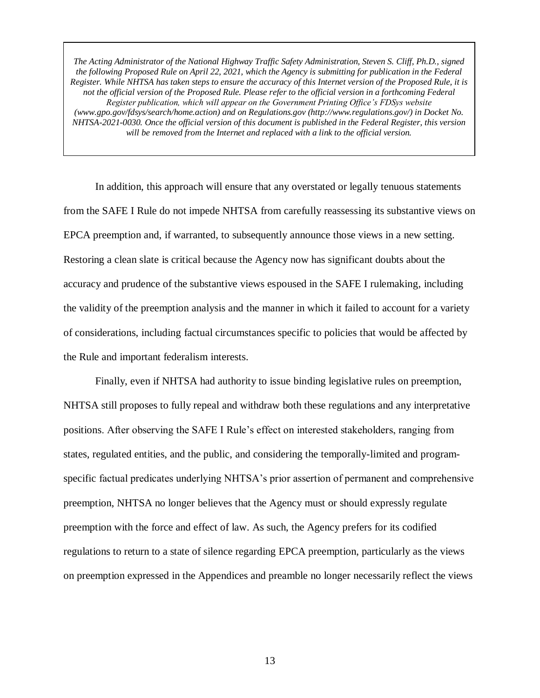In addition, this approach will ensure that any overstated or legally tenuous statements from the SAFE I Rule do not impede NHTSA from carefully reassessing its substantive views on EPCA preemption and, if warranted, to subsequently announce those views in a new setting. Restoring a clean slate is critical because the Agency now has significant doubts about the accuracy and prudence of the substantive views espoused in the SAFE I rulemaking, including the validity of the preemption analysis and the manner in which it failed to account for a variety of considerations, including factual circumstances specific to policies that would be affected by the Rule and important federalism interests.

Finally, even if NHTSA had authority to issue binding legislative rules on preemption, NHTSA still proposes to fully repeal and withdraw both these regulations and any interpretative positions. After observing the SAFE I Rule's effect on interested stakeholders, ranging from states, regulated entities, and the public, and considering the temporally-limited and programspecific factual predicates underlying NHTSA's prior assertion of permanent and comprehensive preemption, NHTSA no longer believes that the Agency must or should expressly regulate preemption with the force and effect of law. As such, the Agency prefers for its codified regulations to return to a state of silence regarding EPCA preemption, particularly as the views on preemption expressed in the Appendices and preamble no longer necessarily reflect the views

13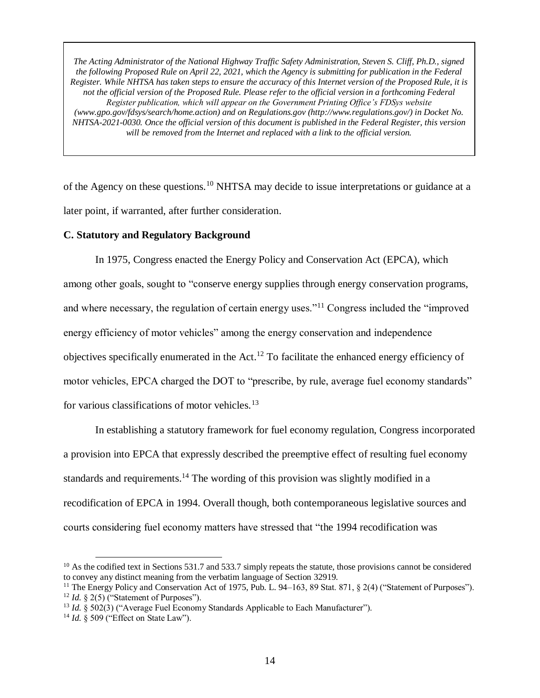of the Agency on these questions.<sup>10</sup> NHTSA may decide to issue interpretations or guidance at a later point, if warranted, after further consideration.

### **C. Statutory and Regulatory Background**

In 1975, Congress enacted the Energy Policy and Conservation Act (EPCA), which among other goals, sought to "conserve energy supplies through energy conservation programs, and where necessary, the regulation of certain energy uses."<sup>11</sup> Congress included the "improved energy efficiency of motor vehicles" among the energy conservation and independence objectives specifically enumerated in the Act.<sup>12</sup> To facilitate the enhanced energy efficiency of motor vehicles, EPCA charged the DOT to "prescribe, by rule, average fuel economy standards" for various classifications of motor vehicles.<sup>13</sup>

In establishing a statutory framework for fuel economy regulation, Congress incorporated a provision into EPCA that expressly described the preemptive effect of resulting fuel economy standards and requirements.<sup>14</sup> The wording of this provision was slightly modified in a recodification of EPCA in 1994. Overall though, both contemporaneous legislative sources and courts considering fuel economy matters have stressed that "the 1994 recodification was

 $10$  As the codified text in Sections 531.7 and 533.7 simply repeats the statute, those provisions cannot be considered to convey any distinct meaning from the verbatim language of Section 32919.

<sup>&</sup>lt;sup>11</sup> The Energy Policy and Conservation Act of 1975, Pub. L. 94–163, 89 Stat. 871, § 2(4) ("Statement of Purposes"). <sup>12</sup> *Id.*  $\&$  2(5) ("Statement of Purposes").

<sup>&</sup>lt;sup>13</sup> *Id.* § 502(3) ("Average Fuel Economy Standards Applicable to Each Manufacturer").

<sup>14</sup> *Id.* § 509 ("Effect on State Law").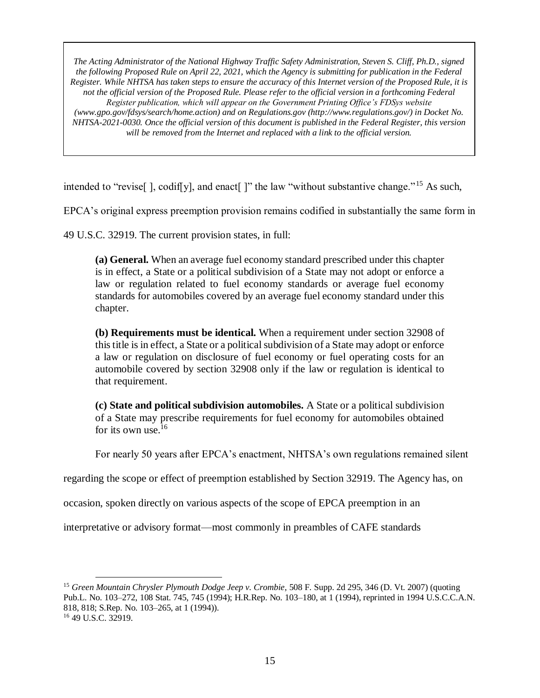intended to "revise[], codif[y], and enact[]" the law "without substantive change."<sup>15</sup> As such,

EPCA's original express preemption provision remains codified in substantially the same form in

49 U.S.C. 32919. The current provision states, in full:

 $\overline{a}$ 

**(a) General.** When an average fuel economy standard prescribed under this chapter is in effect, a State or a political subdivision of a State may not adopt or enforce a law or regulation related to fuel economy standards or average fuel economy standards for automobiles covered by an average fuel economy standard under this chapter.

**(b) Requirements must be identical.** When a requirement under section 32908 of this title is in effect, a State or a political subdivision of a State may adopt or enforce a law or regulation on disclosure of fuel economy or fuel operating costs for an automobile covered by section 32908 only if the law or regulation is identical to that requirement.

**(c) State and political subdivision automobiles.** A State or a political subdivision of a State may prescribe requirements for fuel economy for automobiles obtained for its own use. $16$ 

For nearly 50 years after EPCA's enactment, NHTSA's own regulations remained silent

regarding the scope or effect of preemption established by Section 32919. The Agency has, on

occasion, spoken directly on various aspects of the scope of EPCA preemption in an

interpretative or advisory format—most commonly in preambles of CAFE standards

<sup>15</sup> *Green Mountain Chrysler Plymouth Dodge Jeep v. Crombie*, 508 F. Supp. 2d 295, 346 (D. Vt. 2007) (quoting Pub.L. No. 103–272, 108 Stat. 745, 745 (1994); H.R.Rep. No. 103–180, at 1 (1994), reprinted in 1994 U.S.C.C.A.N. 818, 818; S.Rep. No. 103–265, at 1 (1994)). <sup>16</sup> 49 U.S.C. 32919.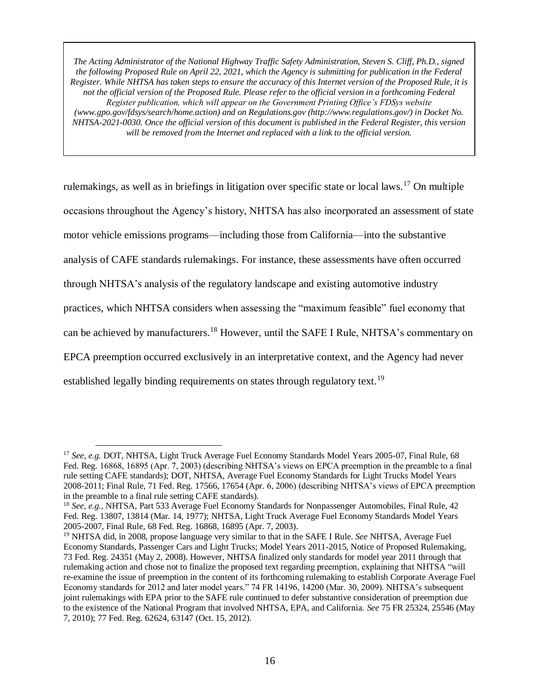rulemakings, as well as in briefings in litigation over specific state or local laws.<sup>17</sup> On multiple occasions throughout the Agency's history, NHTSA has also incorporated an assessment of state motor vehicle emissions programs—including those from California—into the substantive analysis of CAFE standards rulemakings. For instance, these assessments have often occurred through NHTSA's analysis of the regulatory landscape and existing automotive industry practices, which NHTSA considers when assessing the "maximum feasible" fuel economy that can be achieved by manufacturers.<sup>18</sup> However, until the SAFE I Rule, NHTSA's commentary on EPCA preemption occurred exclusively in an interpretative context, and the Agency had never established legally binding requirements on states through regulatory text.<sup>19</sup>

<sup>&</sup>lt;sup>17</sup> See, e.g. DOT, NHTSA, Light Truck Average Fuel Economy Standards Model Years 2005-07, Final Rule, 68 Fed. Reg. 16868, 16895 (Apr. 7, 2003) (describing NHTSA's views on EPCA preemption in the preamble to a final rule setting CAFE standards); DOT, NHTSA, Average Fuel Economy Standards for Light Trucks Model Years 2008-2011; Final Rule, 71 Fed. Reg. 17566, 17654 (Apr. 6, 2006) (describing NHTSA's views of EPCA preemption in the preamble to a final rule setting CAFE standards).

<sup>18</sup> *See, e.g.*, NHTSA, Part 533 Average Fuel Economy Standards for Nonpassenger Automobiles, Final Rule, 42 Fed. Reg. 13807, 13814 (Mar. 14, 1977); NHTSA, Light Truck Average Fuel Economy Standards Model Years 2005-2007, Final Rule, 68 Fed. Reg. 16868, 16895 (Apr. 7, 2003).

<sup>19</sup> NHTSA did, in 2008, propose language very similar to that in the SAFE I Rule. *See* NHTSA, Average Fuel Economy Standards, Passenger Cars and Light Trucks; Model Years 2011-2015, Notice of Proposed Rulemaking, 73 Fed. Reg. 24351 (May 2, 2008). However, NHTSA finalized only standards for model year 2011 through that rulemaking action and chose not to finalize the proposed text regarding preemption, explaining that NHTSA "will re-examine the issue of preemption in the content of its forthcoming rulemaking to establish Corporate Average Fuel Economy standards for 2012 and later model years." 74 FR 14196, 14200 (Mar. 30, 2009). NHTSA's subsequent joint rulemakings with EPA prior to the SAFE rule continued to defer substantive consideration of preemption due to the existence of the National Program that involved NHTSA, EPA, and California. *See* 75 FR 25324, 25546 (May 7, 2010); 77 Fed. Reg. 62624, 63147 (Oct. 15, 2012).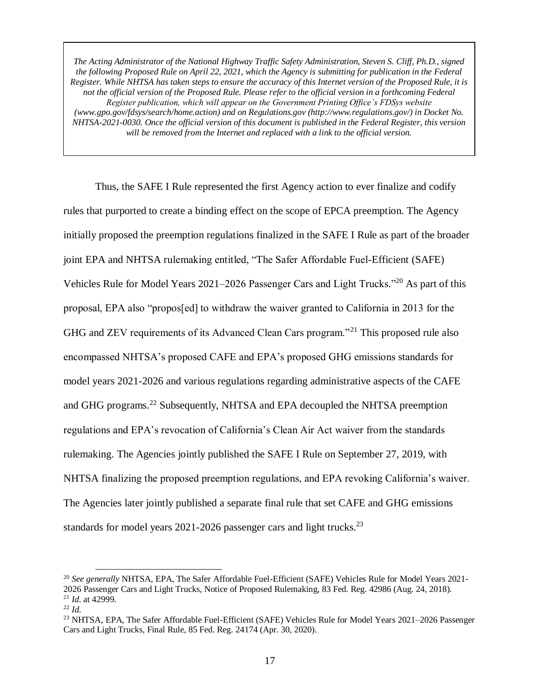Thus, the SAFE I Rule represented the first Agency action to ever finalize and codify rules that purported to create a binding effect on the scope of EPCA preemption. The Agency initially proposed the preemption regulations finalized in the SAFE I Rule as part of the broader joint EPA and NHTSA rulemaking entitled, "The Safer Affordable Fuel-Efficient (SAFE) Vehicles Rule for Model Years 2021–2026 Passenger Cars and Light Trucks."<sup>20</sup> As part of this proposal, EPA also "propos[ed] to withdraw the waiver granted to California in 2013 for the GHG and ZEV requirements of its Advanced Clean Cars program."<sup>21</sup> This proposed rule also encompassed NHTSA's proposed CAFE and EPA's proposed GHG emissions standards for model years 2021-2026 and various regulations regarding administrative aspects of the CAFE and GHG programs.<sup>22</sup> Subsequently, NHTSA and EPA decoupled the NHTSA preemption regulations and EPA's revocation of California's Clean Air Act waiver from the standards rulemaking. The Agencies jointly published the SAFE I Rule on September 27, 2019, with NHTSA finalizing the proposed preemption regulations, and EPA revoking California's waiver. The Agencies later jointly published a separate final rule that set CAFE and GHG emissions standards for model years 2021-2026 passenger cars and light trucks.<sup>23</sup>

<sup>20</sup> *See generally* NHTSA, EPA, The Safer Affordable Fuel-Efficient (SAFE) Vehicles Rule for Model Years 2021- 2026 Passenger Cars and Light Trucks, Notice of Proposed Rulemaking, 83 Fed. Reg. 42986 (Aug. 24, 2018). <sup>21</sup> *Id.* at 42999.

<sup>22</sup> *Id.*

<sup>&</sup>lt;sup>23</sup> NHTSA, EPA, The Safer Affordable Fuel-Efficient (SAFE) Vehicles Rule for Model Years 2021–2026 Passenger Cars and Light Trucks, Final Rule, 85 Fed. Reg. 24174 (Apr. 30, 2020).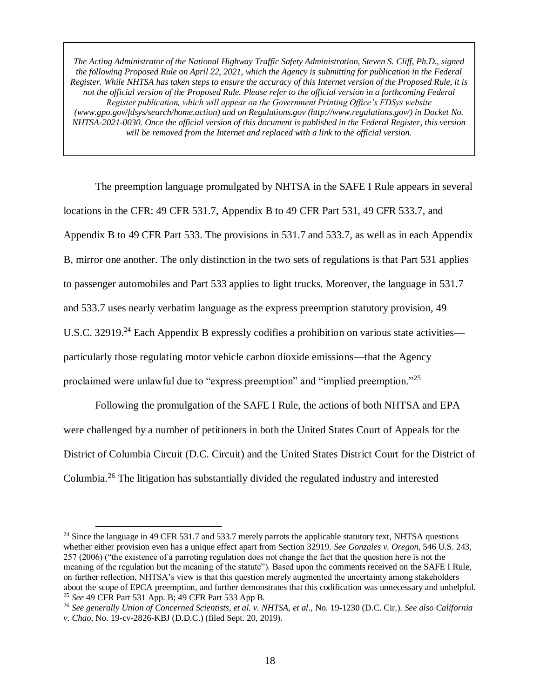The preemption language promulgated by NHTSA in the SAFE I Rule appears in several locations in the CFR: 49 CFR 531.7, Appendix B to 49 CFR Part 531, 49 CFR 533.7, and Appendix B to 49 CFR Part 533. The provisions in 531.7 and 533.7, as well as in each Appendix B, mirror one another. The only distinction in the two sets of regulations is that Part 531 applies to passenger automobiles and Part 533 applies to light trucks. Moreover, the language in 531.7 and 533.7 uses nearly verbatim language as the express preemption statutory provision, 49 U.S.C. 32919.<sup>24</sup> Each Appendix B expressly codifies a prohibition on various state activities particularly those regulating motor vehicle carbon dioxide emissions—that the Agency proclaimed were unlawful due to "express preemption" and "implied preemption."<sup>25</sup>

Following the promulgation of the SAFE I Rule, the actions of both NHTSA and EPA were challenged by a number of petitioners in both the United States Court of Appeals for the District of Columbia Circuit (D.C. Circuit) and the United States District Court for the District of Columbia.<sup>26</sup> The litigation has substantially divided the regulated industry and interested

<sup>&</sup>lt;sup>24</sup> Since the language in 49 CFR 531.7 and 533.7 merely parrots the applicable statutory text, NHTSA questions whether either provision even has a unique effect apart from Section 32919. *See Gonzales v. Oregon*, 546 U.S. 243, 257 (2006) ("the existence of a parroting regulation does not change the fact that the question here is not the meaning of the regulation but the meaning of the statute"). Based upon the comments received on the SAFE I Rule, on further reflection, NHTSA's view is that this question merely augmented the uncertainty among stakeholders about the scope of EPCA preemption, and further demonstrates that this codification was unnecessary and unhelpful. <sup>25</sup> *See* 49 CFR Part 531 App. B; 49 CFR Part 533 App B.

<sup>26</sup> *See generally Union of Concerned Scientists, et al. v. NHTSA, et al*., No. 19-1230 (D.C. Cir.). *See also California v. Chao*, No. 19-cv-2826-KBJ (D.D.C.) (filed Sept. 20, 2019).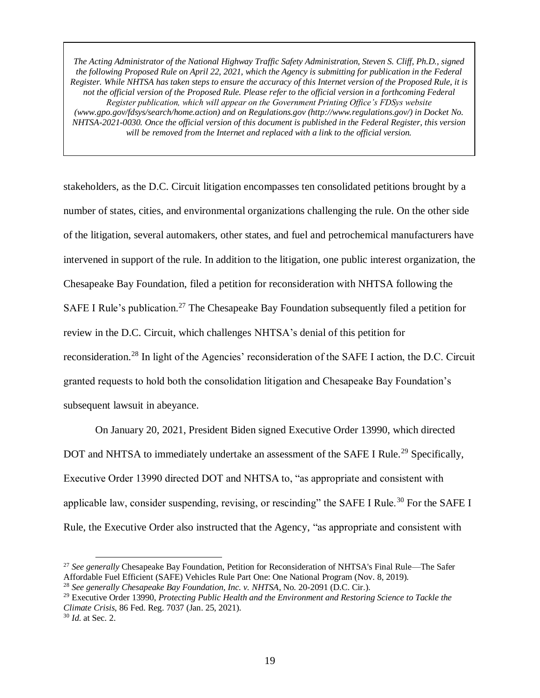stakeholders, as the D.C. Circuit litigation encompasses ten consolidated petitions brought by a number of states, cities, and environmental organizations challenging the rule. On the other side of the litigation, several automakers, other states, and fuel and petrochemical manufacturers have intervened in support of the rule. In addition to the litigation, one public interest organization, the Chesapeake Bay Foundation, filed a petition for reconsideration with NHTSA following the SAFE I Rule's publication.<sup>27</sup> The Chesapeake Bay Foundation subsequently filed a petition for review in the D.C. Circuit, which challenges NHTSA's denial of this petition for reconsideration.<sup>28</sup> In light of the Agencies' reconsideration of the SAFE I action, the D.C. Circuit granted requests to hold both the consolidation litigation and Chesapeake Bay Foundation's subsequent lawsuit in abeyance.

On January 20, 2021, President Biden signed Executive Order 13990, which directed DOT and NHTSA to immediately undertake an assessment of the SAFE I Rule.<sup>29</sup> Specifically, Executive Order 13990 directed DOT and NHTSA to, "as appropriate and consistent with applicable law, consider suspending, revising, or rescinding" the SAFE I Rule.<sup>30</sup> For the SAFE I Rule, the Executive Order also instructed that the Agency, "as appropriate and consistent with

<sup>27</sup> *See generally* Chesapeake Bay Foundation, Petition for Reconsideration of NHTSA's Final Rule—The Safer Affordable Fuel Efficient (SAFE) Vehicles Rule Part One: One National Program (Nov. 8, 2019).

<sup>28</sup> *See generally Chesapeake Bay Foundation, Inc. v. NHTSA*, No. 20-2091 (D.C. Cir.).

<sup>29</sup> Executive Order 13990, *Protecting Public Health and the Environment and Restoring Science to Tackle the Climate Crisis*, 86 Fed. Reg. 7037 (Jan. 25, 2021).

<sup>30</sup> *Id.* at Sec. 2.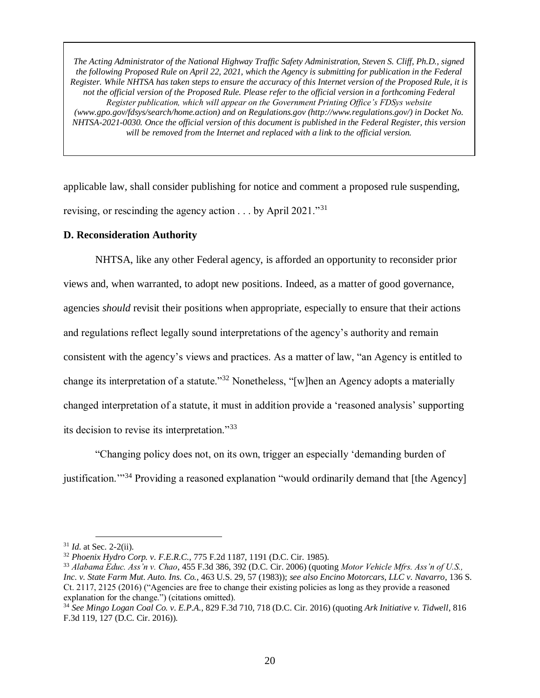applicable law, shall consider publishing for notice and comment a proposed rule suspending, revising, or rescinding the agency action  $\dots$  by April 2021."<sup>31</sup>

### **D. Reconsideration Authority**

NHTSA, like any other Federal agency, is afforded an opportunity to reconsider prior views and, when warranted, to adopt new positions. Indeed, as a matter of good governance, agencies *should* revisit their positions when appropriate, especially to ensure that their actions and regulations reflect legally sound interpretations of the agency's authority and remain consistent with the agency's views and practices. As a matter of law, "an Agency is entitled to change its interpretation of a statute."<sup>32</sup> Nonetheless, "[w]hen an Agency adopts a materially changed interpretation of a statute, it must in addition provide a 'reasoned analysis' supporting its decision to revise its interpretation."<sup>33</sup>

"Changing policy does not, on its own, trigger an especially 'demanding burden of justification."<sup>34</sup> Providing a reasoned explanation "would ordinarily demand that [the Agency]

 $\overline{a}$ <sup>31</sup> *Id.* at Sec. 2-2(ii).

<sup>32</sup> *Phoenix Hydro Corp. v. F.E.R.C.*, 775 F.2d 1187, 1191 (D.C. Cir. 1985).

<sup>33</sup> *Alabama Educ. Ass'n v. Chao*, 455 F.3d 386, 392 (D.C. Cir. 2006) (quoting *Motor Vehicle Mfrs. Ass'n of U.S., Inc. v. State Farm Mut. Auto. Ins. Co.*, 463 U.S. 29, 57 (1983)); *see also Encino Motorcars, LLC v. Navarro*, 136 S. Ct. 2117, 2125 (2016) ("Agencies are free to change their existing policies as long as they provide a reasoned explanation for the change.") (citations omitted).

<sup>34</sup> *See Mingo Logan Coal Co. v. E.P.A.*, 829 F.3d 710, 718 (D.C. Cir. 2016) (quoting *Ark Initiative v. Tidwell*, 816 F.3d 119, 127 (D.C. Cir. 2016)).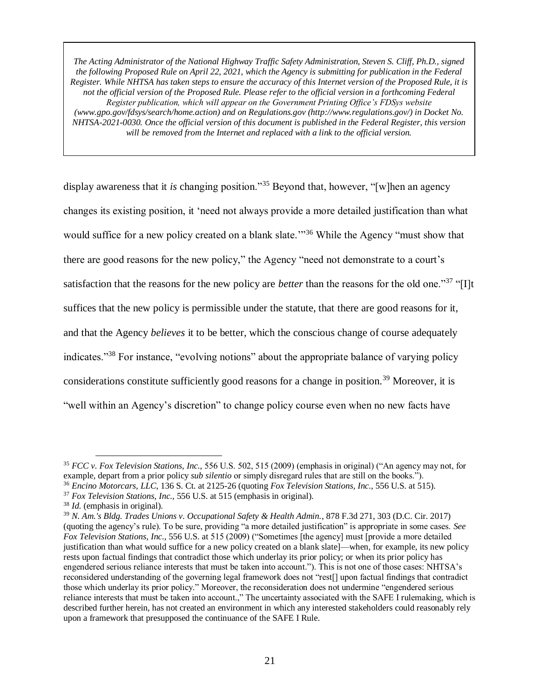display awareness that it *is* changing position."<sup>35</sup> Beyond that, however, "[w]hen an agency changes its existing position, it 'need not always provide a more detailed justification than what would suffice for a new policy created on a blank slate.'"<sup>36</sup> While the Agency "must show that there are good reasons for the new policy," the Agency "need not demonstrate to a court's satisfaction that the reasons for the new policy are *better* than the reasons for the old one."<sup>37</sup> "[I]t suffices that the new policy is permissible under the statute, that there are good reasons for it, and that the Agency *believes* it to be better, which the conscious change of course adequately indicates."<sup>38</sup> For instance, "evolving notions" about the appropriate balance of varying policy considerations constitute sufficiently good reasons for a change in position.<sup>39</sup> Moreover, it is "well within an Agency's discretion" to change policy course even when no new facts have

<sup>35</sup> *FCC v. Fox Television Stations, Inc.,* 556 U.S. 502, 515 (2009) (emphasis in original) ("An agency may not, for example, depart from a prior policy *sub silentio* or simply disregard rules that are still on the books."). <sup>36</sup> *Encino Motorcars, LLC*, 136 S. Ct. at 2125-26 (quoting *Fox Television Stations, Inc.,* 556 U.S. at 515).

<sup>37</sup> *Fox Television Stations, Inc.,* 556 U.S. at 515 (emphasis in original).

<sup>38</sup> *Id.* (emphasis in original).

<sup>39</sup> *N. Am.'s Bldg. Trades Unions v. Occupational Safety & Health Admin.*, 878 F.3d 271, 303 (D.C. Cir. 2017) (quoting the agency's rule). To be sure, providing "a more detailed justification" is appropriate in some cases. *See Fox Television Stations, Inc.,* 556 U.S. at 515 (2009) ("Sometimes [the agency] must [provide a more detailed justification than what would suffice for a new policy created on a blank slate]—when, for example, its new policy rests upon factual findings that contradict those which underlay its prior policy; or when its prior policy has engendered serious reliance interests that must be taken into account."). This is not one of those cases: NHTSA's reconsidered understanding of the governing legal framework does not "rest[] upon factual findings that contradict those which underlay its prior policy." Moreover, the reconsideration does not undermine "engendered serious reliance interests that must be taken into account.," The uncertainty associated with the SAFE I rulemaking, which is described further herein, has not created an environment in which any interested stakeholders could reasonably rely upon a framework that presupposed the continuance of the SAFE I Rule.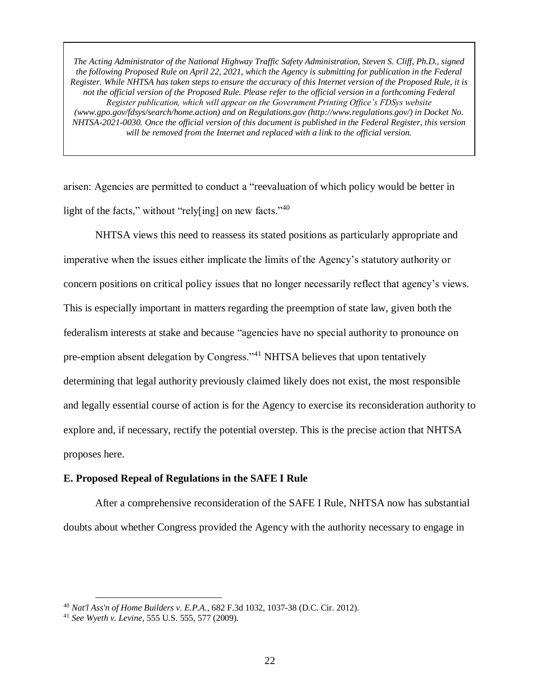arisen: Agencies are permitted to conduct a "reevaluation of which policy would be better in light of the facts," without "rely[ing] on new facts."<sup>40</sup>

NHTSA views this need to reassess its stated positions as particularly appropriate and imperative when the issues either implicate the limits of the Agency's statutory authority or concern positions on critical policy issues that no longer necessarily reflect that agency's views. This is especially important in matters regarding the preemption of state law, given both the federalism interests at stake and because "agencies have no special authority to pronounce on pre-emption absent delegation by Congress."<sup>41</sup> NHTSA believes that upon tentatively determining that legal authority previously claimed likely does not exist, the most responsible and legally essential course of action is for the Agency to exercise its reconsideration authority to explore and, if necessary, rectify the potential overstep. This is the precise action that NHTSA proposes here.

### **E. Proposed Repeal of Regulations in the SAFE I Rule**

After a comprehensive reconsideration of the SAFE I Rule, NHTSA now has substantial doubts about whether Congress provided the Agency with the authority necessary to engage in

<sup>40</sup> *Nat'l Ass'n of Home Builders v. E.P.A.*, 682 F.3d 1032, 1037-38 (D.C. Cir. 2012).

<sup>41</sup> *See Wyeth v. Levine*, 555 U.S. 555, 577 (2009).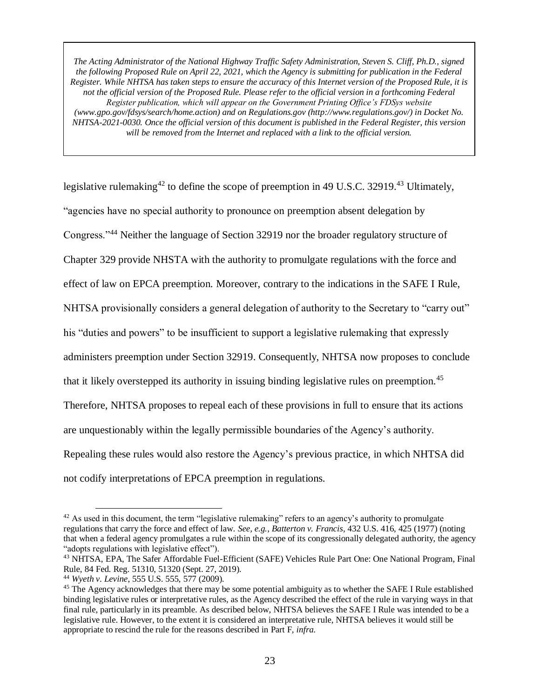legislative rulemaking<sup>42</sup> to define the scope of preemption in 49 U.S.C. 32919.<sup>43</sup> Ultimately, "agencies have no special authority to pronounce on preemption absent delegation by Congress."<sup>44</sup> Neither the language of Section 32919 nor the broader regulatory structure of Chapter 329 provide NHSTA with the authority to promulgate regulations with the force and effect of law on EPCA preemption. Moreover, contrary to the indications in the SAFE I Rule, NHTSA provisionally considers a general delegation of authority to the Secretary to "carry out" his "duties and powers" to be insufficient to support a legislative rulemaking that expressly administers preemption under Section 32919. Consequently, NHTSA now proposes to conclude that it likely overstepped its authority in issuing binding legislative rules on preemption.<sup>45</sup> Therefore, NHTSA proposes to repeal each of these provisions in full to ensure that its actions are unquestionably within the legally permissible boundaries of the Agency's authority. Repealing these rules would also restore the Agency's previous practice, in which NHTSA did not codify interpretations of EPCA preemption in regulations.

 $42$  As used in this document, the term "legislative rulemaking" refers to an agency's authority to promulgate regulations that carry the force and effect of law. *See, e.g.*, *Batterton v. Francis*, 432 U.S. 416, 425 (1977) (noting that when a federal agency promulgates a rule within the scope of its congressionally delegated authority, the agency "adopts regulations with legislative effect").

<sup>43</sup> NHTSA, EPA, The Safer Affordable Fuel-Efficient (SAFE) Vehicles Rule Part One: One National Program, Final Rule, 84 Fed. Reg. 51310, 51320 (Sept. 27, 2019).

<sup>44</sup> *Wyeth v. Levine*, 555 U.S. 555, 577 (2009).

<sup>&</sup>lt;sup>45</sup> The Agency acknowledges that there may be some potential ambiguity as to whether the SAFE I Rule established binding legislative rules or interpretative rules, as the Agency described the effect of the rule in varying ways in that final rule, particularly in its preamble. As described below, NHTSA believes the SAFE I Rule was intended to be a legislative rule. However, to the extent it is considered an interpretative rule, NHTSA believes it would still be appropriate to rescind the rule for the reasons described in Part F, *infra*.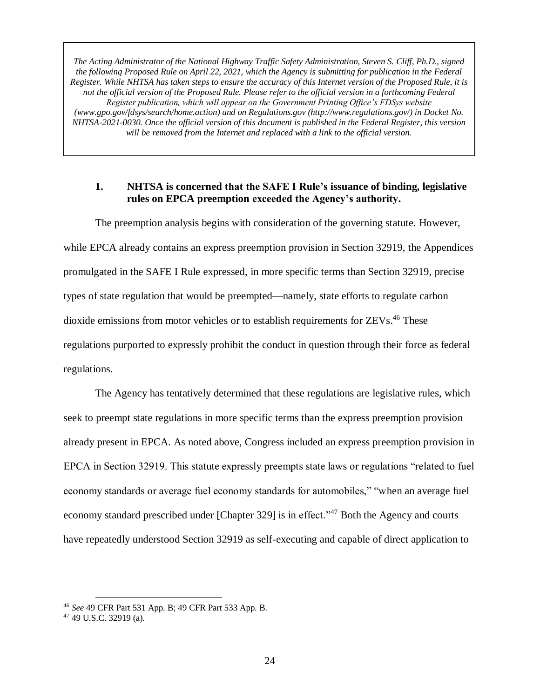### **1. NHTSA is concerned that the SAFE I Rule's issuance of binding, legislative rules on EPCA preemption exceeded the Agency's authority.**

The preemption analysis begins with consideration of the governing statute. However, while EPCA already contains an express preemption provision in Section 32919, the Appendices promulgated in the SAFE I Rule expressed, in more specific terms than Section 32919, precise types of state regulation that would be preempted—namely, state efforts to regulate carbon dioxide emissions from motor vehicles or to establish requirements for ZEVs.<sup>46</sup> These regulations purported to expressly prohibit the conduct in question through their force as federal regulations.

The Agency has tentatively determined that these regulations are legislative rules, which seek to preempt state regulations in more specific terms than the express preemption provision already present in EPCA. As noted above, Congress included an express preemption provision in EPCA in Section 32919. This statute expressly preempts state laws or regulations "related to fuel economy standards or average fuel economy standards for automobiles," "when an average fuel economy standard prescribed under [Chapter 329] is in effect."<sup>47</sup> Both the Agency and courts have repeatedly understood Section 32919 as self-executing and capable of direct application to

<sup>46</sup> *See* 49 CFR Part 531 App. B; 49 CFR Part 533 App. B.

<sup>47</sup> 49 U.S.C. 32919 (a).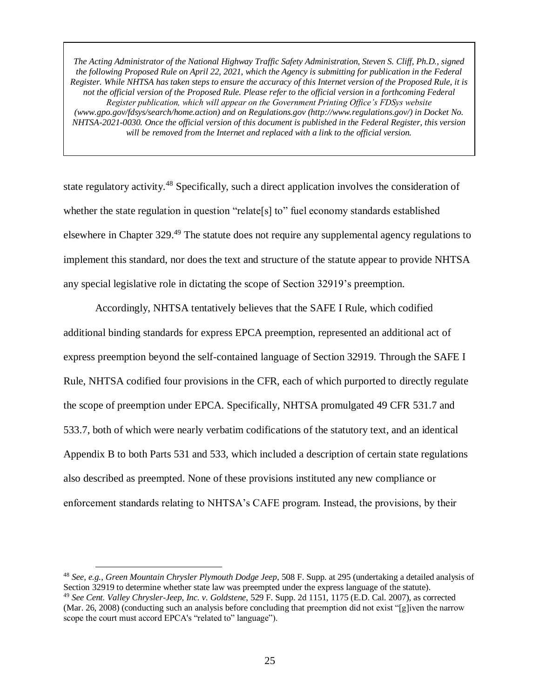state regulatory activity.<sup>48</sup> Specifically, such a direct application involves the consideration of whether the state regulation in question "relate<sup>[s]</sup> to" fuel economy standards established elsewhere in Chapter 329.<sup>49</sup> The statute does not require any supplemental agency regulations to implement this standard, nor does the text and structure of the statute appear to provide NHTSA any special legislative role in dictating the scope of Section 32919's preemption.

Accordingly, NHTSA tentatively believes that the SAFE I Rule, which codified additional binding standards for express EPCA preemption, represented an additional act of express preemption beyond the self-contained language of Section 32919. Through the SAFE I Rule, NHTSA codified four provisions in the CFR, each of which purported to directly regulate the scope of preemption under EPCA. Specifically, NHTSA promulgated 49 CFR 531.7 and 533.7, both of which were nearly verbatim codifications of the statutory text, and an identical Appendix B to both Parts 531 and 533, which included a description of certain state regulations also described as preempted. None of these provisions instituted any new compliance or enforcement standards relating to NHTSA's CAFE program. Instead, the provisions, by their

<sup>48</sup> *See, e.g.*, *Green Mountain Chrysler Plymouth Dodge Jeep*, 508 F. Supp. at 295 (undertaking a detailed analysis of Section 32919 to determine whether state law was preempted under the express language of the statute). <sup>49</sup> *See Cent. Valley Chrysler-Jeep, Inc. v. Goldstene*, 529 F. Supp. 2d 1151, 1175 (E.D. Cal. 2007), as corrected (Mar. 26, 2008) (conducting such an analysis before concluding that preemption did not exist "[g]iven the narrow scope the court must accord EPCA's "related to" language").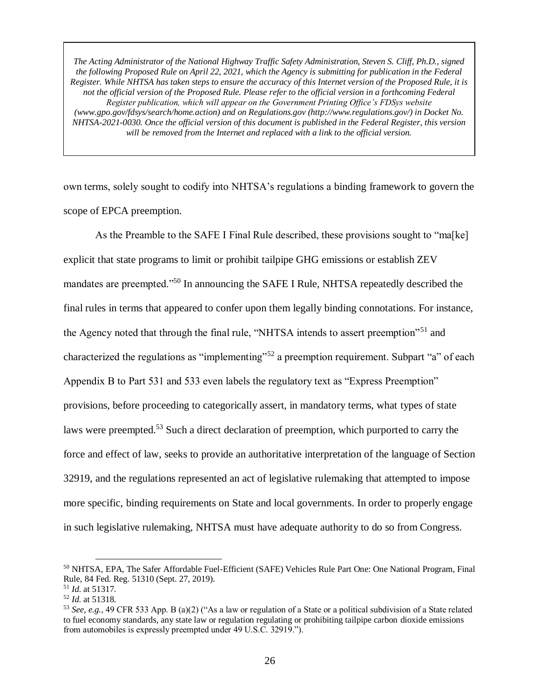own terms, solely sought to codify into NHTSA's regulations a binding framework to govern the scope of EPCA preemption.

As the Preamble to the SAFE I Final Rule described, these provisions sought to "ma[ke] explicit that state programs to limit or prohibit tailpipe GHG emissions or establish ZEV mandates are preempted."<sup>50</sup> In announcing the SAFE I Rule, NHTSA repeatedly described the final rules in terms that appeared to confer upon them legally binding connotations. For instance, the Agency noted that through the final rule, "NHTSA intends to assert preemption"<sup>51</sup> and characterized the regulations as "implementing"<sup>52</sup> a preemption requirement. Subpart "a" of each Appendix B to Part 531 and 533 even labels the regulatory text as "Express Preemption" provisions, before proceeding to categorically assert, in mandatory terms, what types of state laws were preempted.<sup>53</sup> Such a direct declaration of preemption, which purported to carry the force and effect of law, seeks to provide an authoritative interpretation of the language of Section 32919, and the regulations represented an act of legislative rulemaking that attempted to impose more specific, binding requirements on State and local governments. In order to properly engage in such legislative rulemaking, NHTSA must have adequate authority to do so from Congress.

<sup>50</sup> NHTSA, EPA, The Safer Affordable Fuel-Efficient (SAFE) Vehicles Rule Part One: One National Program, Final Rule, 84 Fed. Reg. 51310 (Sept. 27, 2019).

<sup>51</sup> *Id.* at 51317.

<sup>52</sup> *Id.* at 51318.

<sup>53</sup> *See, e.g.*, 49 CFR 533 App. B (a)(2) ("As a law or regulation of a State or a political subdivision of a State related to fuel economy standards, any state law or regulation regulating or prohibiting tailpipe carbon dioxide emissions from automobiles is expressly preempted under 49 U.S.C. 32919.").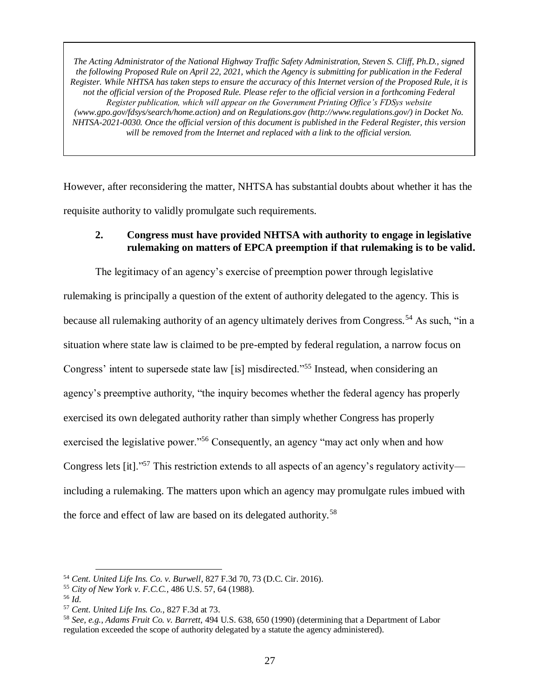However, after reconsidering the matter, NHTSA has substantial doubts about whether it has the requisite authority to validly promulgate such requirements.

## **2. Congress must have provided NHTSA with authority to engage in legislative rulemaking on matters of EPCA preemption if that rulemaking is to be valid.**

The legitimacy of an agency's exercise of preemption power through legislative rulemaking is principally a question of the extent of authority delegated to the agency. This is because all rulemaking authority of an agency ultimately derives from Congress.<sup>54</sup> As such, "in a situation where state law is claimed to be pre-empted by federal regulation, a narrow focus on Congress' intent to supersede state law [is] misdirected."<sup>55</sup> Instead, when considering an agency's preemptive authority, "the inquiry becomes whether the federal agency has properly exercised its own delegated authority rather than simply whether Congress has properly exercised the legislative power."<sup>56</sup> Consequently, an agency "may act only when and how Congress lets [it]."<sup>57</sup> This restriction extends to all aspects of an agency's regulatory activity including a rulemaking. The matters upon which an agency may promulgate rules imbued with the force and effect of law are based on its delegated authority.<sup>58</sup>

<sup>54</sup> *Cent. United Life Ins. Co. v. Burwell*, 827 F.3d 70, 73 (D.C. Cir. 2016).

<sup>55</sup> *City of New York v. F.C.C.*, 486 U.S. 57, 64 (1988).

<sup>56</sup> *Id.* 

<sup>57</sup> *Cent. United Life Ins. Co.*, 827 F.3d at 73.

<sup>58</sup> *See, e.g.*, *Adams Fruit Co. v. Barrett*, 494 U.S. 638, 650 (1990) (determining that a Department of Labor regulation exceeded the scope of authority delegated by a statute the agency administered).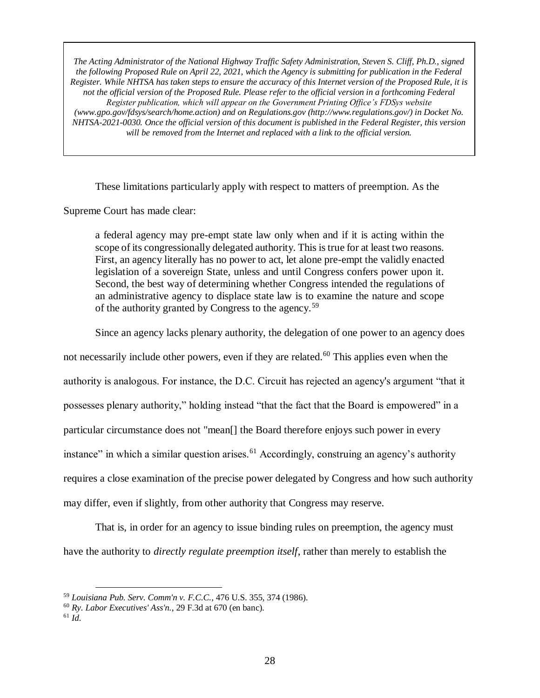These limitations particularly apply with respect to matters of preemption. As the

Supreme Court has made clear:

a federal agency may pre-empt state law only when and if it is acting within the scope of its congressionally delegated authority. This is true for at least two reasons. First, an agency literally has no power to act, let alone pre-empt the validly enacted legislation of a sovereign State, unless and until Congress confers power upon it. Second, the best way of determining whether Congress intended the regulations of an administrative agency to displace state law is to examine the nature and scope of the authority granted by Congress to the agency.<sup>59</sup>

Since an agency lacks plenary authority, the delegation of one power to an agency does

not necessarily include other powers, even if they are related.<sup>60</sup> This applies even when the

authority is analogous. For instance, the D.C. Circuit has rejected an agency's argument "that it

possesses plenary authority," holding instead "that the fact that the Board is empowered" in a

particular circumstance does not "mean[] the Board therefore enjoys such power in every

instance" in which a similar question arises.<sup>61</sup> Accordingly, construing an agency's authority

requires a close examination of the precise power delegated by Congress and how such authority

may differ, even if slightly, from other authority that Congress may reserve.

That is, in order for an agency to issue binding rules on preemption, the agency must have the authority to *directly regulate preemption itself*, rather than merely to establish the

 $61$  *Id.* 

<sup>59</sup> *Louisiana Pub. Serv. Comm'n v. F.C.C.*, 476 U.S. 355, 374 (1986).

<sup>60</sup> *Ry. Labor Executives' Ass'n.*, 29 F.3d at 670 (en banc).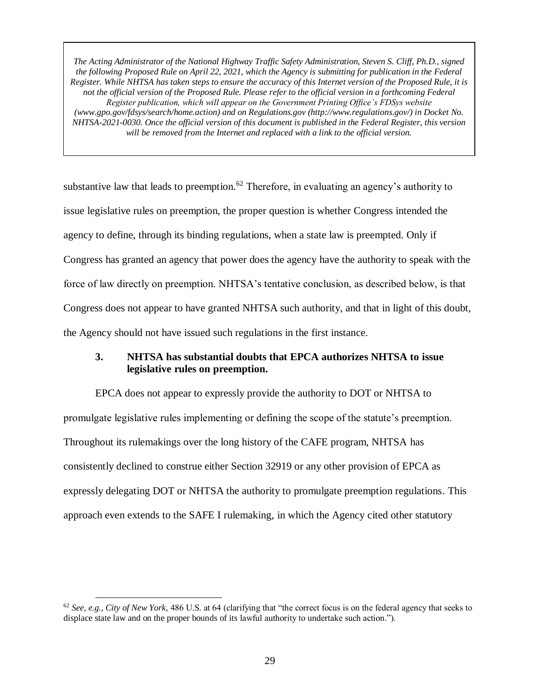substantive law that leads to preemption.<sup>62</sup> Therefore, in evaluating an agency's authority to issue legislative rules on preemption, the proper question is whether Congress intended the agency to define, through its binding regulations, when a state law is preempted. Only if Congress has granted an agency that power does the agency have the authority to speak with the force of law directly on preemption. NHTSA's tentative conclusion, as described below, is that Congress does not appear to have granted NHTSA such authority, and that in light of this doubt, the Agency should not have issued such regulations in the first instance.

# **3. NHTSA has substantial doubts that EPCA authorizes NHTSA to issue legislative rules on preemption.**

EPCA does not appear to expressly provide the authority to DOT or NHTSA to promulgate legislative rules implementing or defining the scope of the statute's preemption. Throughout its rulemakings over the long history of the CAFE program, NHTSA has consistently declined to construe either Section 32919 or any other provision of EPCA as expressly delegating DOT or NHTSA the authority to promulgate preemption regulations. This approach even extends to the SAFE I rulemaking, in which the Agency cited other statutory

<sup>62</sup> *See, e.g.*, *City of New York*, 486 U.S. at 64 (clarifying that "the correct focus is on the federal agency that seeks to displace state law and on the proper bounds of its lawful authority to undertake such action.").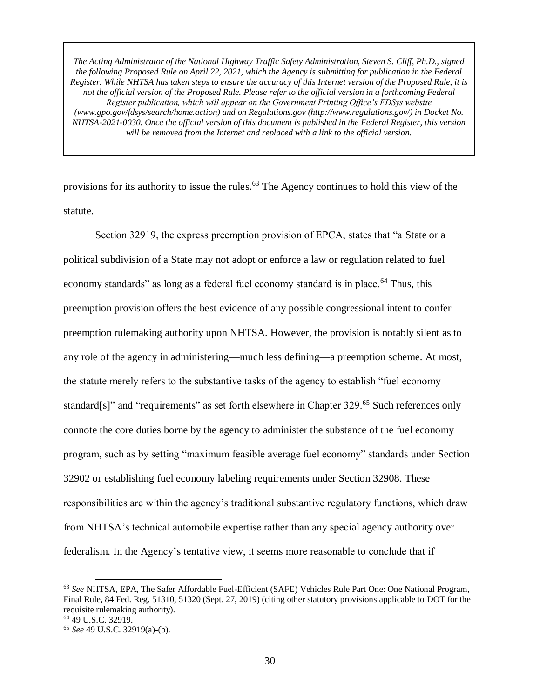provisions for its authority to issue the rules.<sup>63</sup> The Agency continues to hold this view of the statute.

Section 32919, the express preemption provision of EPCA, states that "a State or a political subdivision of a State may not adopt or enforce a law or regulation related to fuel economy standards" as long as a federal fuel economy standard is in place.<sup>64</sup> Thus, this preemption provision offers the best evidence of any possible congressional intent to confer preemption rulemaking authority upon NHTSA. However, the provision is notably silent as to any role of the agency in administering—much less defining—a preemption scheme. At most, the statute merely refers to the substantive tasks of the agency to establish "fuel economy standard[s]" and "requirements" as set forth elsewhere in Chapter 329.<sup>65</sup> Such references only connote the core duties borne by the agency to administer the substance of the fuel economy program, such as by setting "maximum feasible average fuel economy" standards under Section 32902 or establishing fuel economy labeling requirements under Section 32908. These responsibilities are within the agency's traditional substantive regulatory functions, which draw from NHTSA's technical automobile expertise rather than any special agency authority over federalism. In the Agency's tentative view, it seems more reasonable to conclude that if

<sup>63</sup> *See* NHTSA, EPA, The Safer Affordable Fuel-Efficient (SAFE) Vehicles Rule Part One: One National Program, Final Rule, 84 Fed. Reg. 51310, 51320 (Sept. 27, 2019) (citing other statutory provisions applicable to DOT for the requisite rulemaking authority). <sup>64</sup> 49 U.S.C. 32919.

<sup>65</sup> *See* 49 U.S.C. 32919(a)-(b).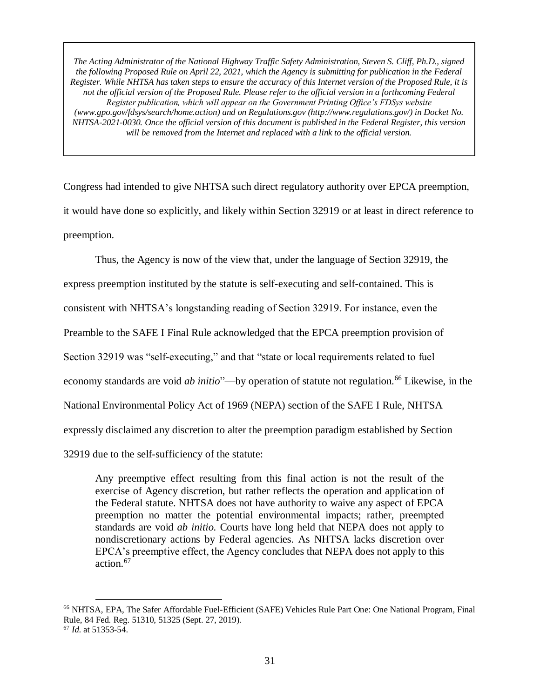Congress had intended to give NHTSA such direct regulatory authority over EPCA preemption, it would have done so explicitly, and likely within Section 32919 or at least in direct reference to preemption.

Thus, the Agency is now of the view that, under the language of Section 32919, the express preemption instituted by the statute is self-executing and self-contained. This is consistent with NHTSA's longstanding reading of Section 32919. For instance, even the Preamble to the SAFE I Final Rule acknowledged that the EPCA preemption provision of Section 32919 was "self-executing," and that "state or local requirements related to fuel economy standards are void *ab initio*"—by operation of statute not regulation.<sup>66</sup> Likewise, in the National Environmental Policy Act of 1969 (NEPA) section of the SAFE I Rule, NHTSA expressly disclaimed any discretion to alter the preemption paradigm established by Section 32919 due to the self-sufficiency of the statute:

Any preemptive effect resulting from this final action is not the result of the exercise of Agency discretion, but rather reflects the operation and application of the Federal statute. NHTSA does not have authority to waive any aspect of EPCA preemption no matter the potential environmental impacts; rather, preempted standards are void *ab initio.* Courts have long held that NEPA does not apply to nondiscretionary actions by Federal agencies. As NHTSA lacks discretion over EPCA's preemptive effect, the Agency concludes that NEPA does not apply to this action.<sup>67</sup>

<sup>66</sup> NHTSA, EPA, The Safer Affordable Fuel-Efficient (SAFE) Vehicles Rule Part One: One National Program, Final Rule, 84 Fed. Reg. 51310, 51325 (Sept. 27, 2019). <sup>67</sup> *Id.* at 51353-54.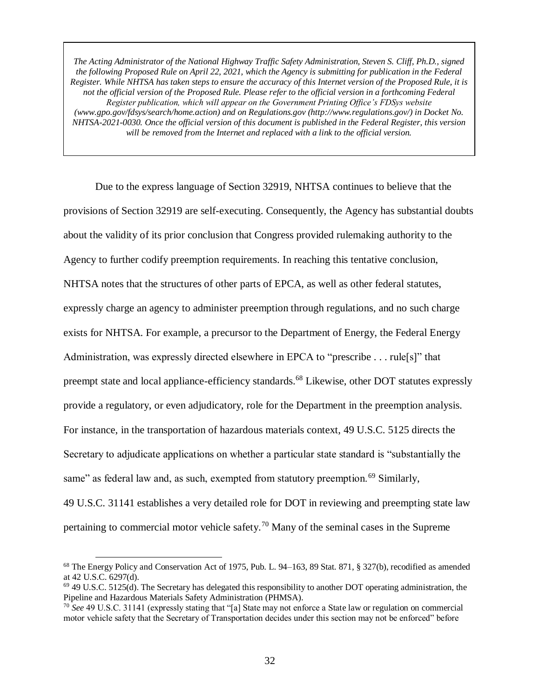Due to the express language of Section 32919, NHTSA continues to believe that the provisions of Section 32919 are self-executing. Consequently, the Agency has substantial doubts about the validity of its prior conclusion that Congress provided rulemaking authority to the Agency to further codify preemption requirements. In reaching this tentative conclusion, NHTSA notes that the structures of other parts of EPCA, as well as other federal statutes, expressly charge an agency to administer preemption through regulations, and no such charge exists for NHTSA. For example, a precursor to the Department of Energy, the Federal Energy Administration, was expressly directed elsewhere in EPCA to "prescribe . . . rule[s]" that preempt state and local appliance-efficiency standards.<sup>68</sup> Likewise, other DOT statutes expressly provide a regulatory, or even adjudicatory, role for the Department in the preemption analysis. For instance, in the transportation of hazardous materials context, 49 U.S.C. 5125 directs the Secretary to adjudicate applications on whether a particular state standard is "substantially the same" as federal law and, as such, exempted from statutory preemption.<sup>69</sup> Similarly, 49 U.S.C. 31141 establishes a very detailed role for DOT in reviewing and preempting state law pertaining to commercial motor vehicle safety.<sup>70</sup> Many of the seminal cases in the Supreme

<sup>68</sup> The Energy Policy and Conservation Act of 1975, Pub. L. 94–163, 89 Stat. 871, § 327(b), recodified as amended at 42 U.S.C. 6297(d).

 $^{69}$  49 U.S.C. 5125(d). The Secretary has delegated this responsibility to another DOT operating administration, the Pipeline and Hazardous Materials Safety Administration (PHMSA).

<sup>70</sup> *See* 49 U.S.C. 31141 (expressly stating that "[a] State may not enforce a State law or regulation on commercial motor vehicle safety that the Secretary of Transportation decides under this section may not be enforced" before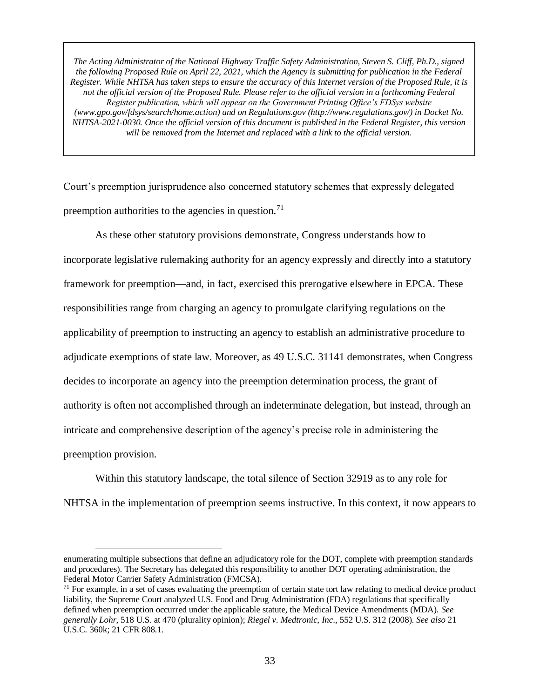Court's preemption jurisprudence also concerned statutory schemes that expressly delegated preemption authorities to the agencies in question.<sup>71</sup>

As these other statutory provisions demonstrate, Congress understands how to incorporate legislative rulemaking authority for an agency expressly and directly into a statutory framework for preemption—and, in fact, exercised this prerogative elsewhere in EPCA. These responsibilities range from charging an agency to promulgate clarifying regulations on the applicability of preemption to instructing an agency to establish an administrative procedure to adjudicate exemptions of state law. Moreover, as 49 U.S.C. 31141 demonstrates, when Congress decides to incorporate an agency into the preemption determination process, the grant of authority is often not accomplished through an indeterminate delegation, but instead, through an intricate and comprehensive description of the agency's precise role in administering the preemption provision.

Within this statutory landscape, the total silence of Section 32919 as to any role for NHTSA in the implementation of preemption seems instructive. In this context, it now appears to

enumerating multiple subsections that define an adjudicatory role for the DOT, complete with preemption standards and procedures). The Secretary has delegated this responsibility to another DOT operating administration, the Federal Motor Carrier Safety Administration (FMCSA).

 $\overline{a}$ 

 $71$  For example, in a set of cases evaluating the preemption of certain state tort law relating to medical device product liability, the Supreme Court analyzed U.S. Food and Drug Administration (FDA) regulations that specifically defined when preemption occurred under the applicable statute, the Medical Device Amendments (MDA). *See generally Lohr*, 518 U.S. at 470 (plurality opinion); *Riegel v. Medtronic, Inc*., 552 U.S. 312 (2008). *See also* 21 U.S.C. 360k; 21 CFR 808.1.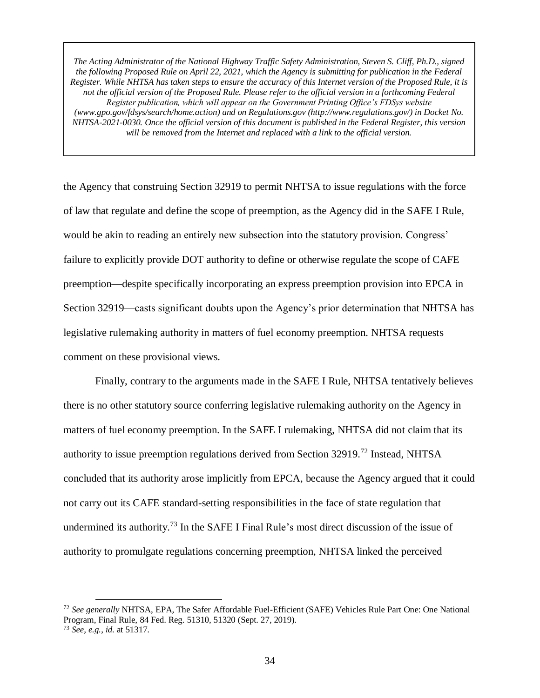the Agency that construing Section 32919 to permit NHTSA to issue regulations with the force of law that regulate and define the scope of preemption, as the Agency did in the SAFE I Rule, would be akin to reading an entirely new subsection into the statutory provision. Congress' failure to explicitly provide DOT authority to define or otherwise regulate the scope of CAFE preemption—despite specifically incorporating an express preemption provision into EPCA in Section 32919—casts significant doubts upon the Agency's prior determination that NHTSA has legislative rulemaking authority in matters of fuel economy preemption. NHTSA requests comment on these provisional views.

Finally, contrary to the arguments made in the SAFE I Rule, NHTSA tentatively believes there is no other statutory source conferring legislative rulemaking authority on the Agency in matters of fuel economy preemption. In the SAFE I rulemaking, NHTSA did not claim that its authority to issue preemption regulations derived from Section 32919.<sup>72</sup> Instead, NHTSA concluded that its authority arose implicitly from EPCA, because the Agency argued that it could not carry out its CAFE standard-setting responsibilities in the face of state regulation that undermined its authority.<sup>73</sup> In the SAFE I Final Rule's most direct discussion of the issue of authority to promulgate regulations concerning preemption, NHTSA linked the perceived

<sup>72</sup> *See generally* NHTSA, EPA, The Safer Affordable Fuel-Efficient (SAFE) Vehicles Rule Part One: One National Program, Final Rule, 84 Fed. Reg. 51310, 51320 (Sept. 27, 2019). <sup>73</sup> *See, e.g.*, *id.* at 51317.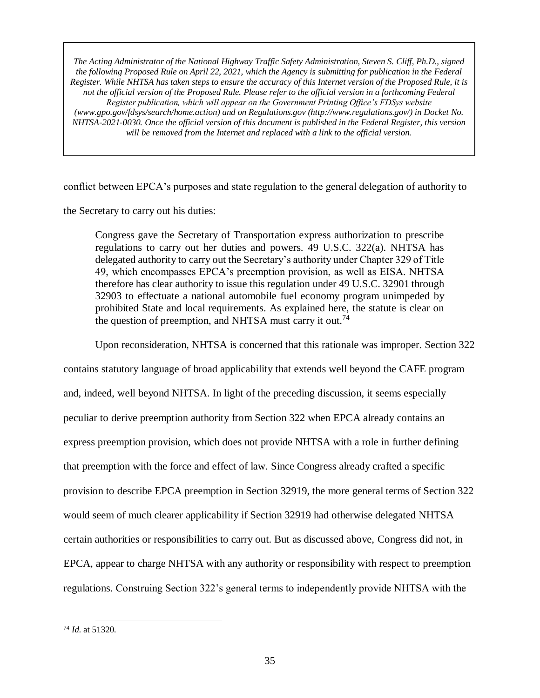conflict between EPCA's purposes and state regulation to the general delegation of authority to

the Secretary to carry out his duties:

Congress gave the Secretary of Transportation express authorization to prescribe regulations to carry out her duties and powers. 49 U.S.C. 322(a). NHTSA has delegated authority to carry out the Secretary's authority under Chapter 329 of Title 49, which encompasses EPCA's preemption provision, as well as EISA. NHTSA therefore has clear authority to issue this regulation under 49 U.S.C. 32901 through 32903 to effectuate a national automobile fuel economy program unimpeded by prohibited State and local requirements. As explained here, the statute is clear on the question of preemption, and NHTSA must carry it out.<sup>74</sup>

Upon reconsideration, NHTSA is concerned that this rationale was improper. Section 322

contains statutory language of broad applicability that extends well beyond the CAFE program and, indeed, well beyond NHTSA. In light of the preceding discussion, it seems especially peculiar to derive preemption authority from Section 322 when EPCA already contains an express preemption provision, which does not provide NHTSA with a role in further defining that preemption with the force and effect of law. Since Congress already crafted a specific provision to describe EPCA preemption in Section 32919, the more general terms of Section 322 would seem of much clearer applicability if Section 32919 had otherwise delegated NHTSA certain authorities or responsibilities to carry out. But as discussed above, Congress did not, in EPCA, appear to charge NHTSA with any authority or responsibility with respect to preemption regulations. Construing Section 322's general terms to independently provide NHTSA with the

<sup>74</sup> *Id.* at 51320.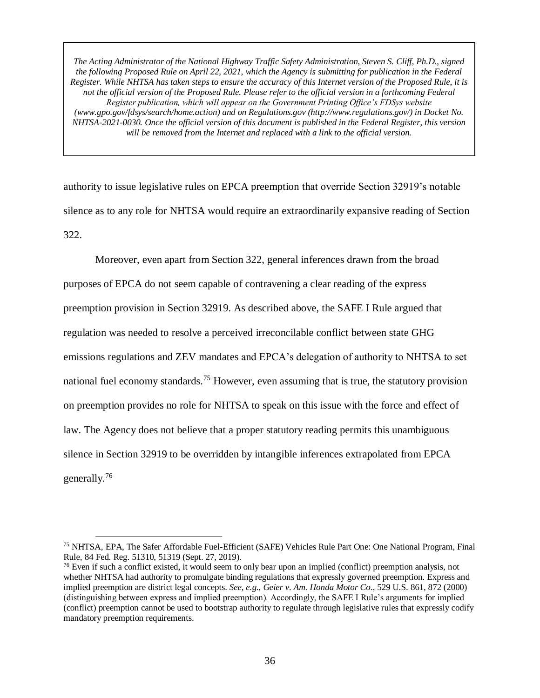authority to issue legislative rules on EPCA preemption that override Section 32919's notable silence as to any role for NHTSA would require an extraordinarily expansive reading of Section 322.

Moreover, even apart from Section 322, general inferences drawn from the broad purposes of EPCA do not seem capable of contravening a clear reading of the express preemption provision in Section 32919. As described above, the SAFE I Rule argued that regulation was needed to resolve a perceived irreconcilable conflict between state GHG emissions regulations and ZEV mandates and EPCA's delegation of authority to NHTSA to set national fuel economy standards.<sup>75</sup> However, even assuming that is true, the statutory provision on preemption provides no role for NHTSA to speak on this issue with the force and effect of law. The Agency does not believe that a proper statutory reading permits this unambiguous silence in Section 32919 to be overridden by intangible inferences extrapolated from EPCA generally.<sup>76</sup>

<sup>75</sup> NHTSA, EPA, The Safer Affordable Fuel-Efficient (SAFE) Vehicles Rule Part One: One National Program, Final Rule, 84 Fed. Reg. 51310, 51319 (Sept. 27, 2019).

<sup>&</sup>lt;sup>76</sup> Even if such a conflict existed, it would seem to only bear upon an implied (conflict) preemption analysis, not whether NHTSA had authority to promulgate binding regulations that expressly governed preemption. Express and implied preemption are district legal concepts. *See, e.g.*, *Geier v. Am. Honda Motor Co*., 529 U.S. 861, 872 (2000) (distinguishing between express and implied preemption). Accordingly, the SAFE I Rule's arguments for implied (conflict) preemption cannot be used to bootstrap authority to regulate through legislative rules that expressly codify mandatory preemption requirements.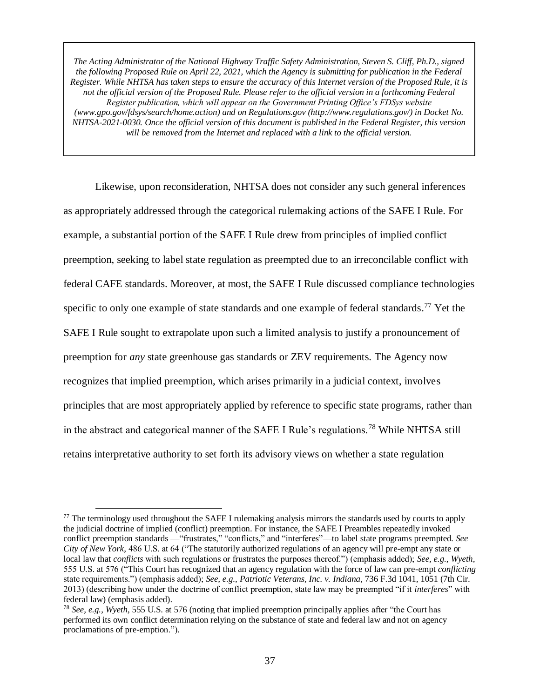Likewise, upon reconsideration, NHTSA does not consider any such general inferences as appropriately addressed through the categorical rulemaking actions of the SAFE I Rule. For example, a substantial portion of the SAFE I Rule drew from principles of implied conflict preemption, seeking to label state regulation as preempted due to an irreconcilable conflict with federal CAFE standards. Moreover, at most, the SAFE I Rule discussed compliance technologies specific to only one example of state standards and one example of federal standards.<sup>77</sup> Yet the SAFE I Rule sought to extrapolate upon such a limited analysis to justify a pronouncement of preemption for *any* state greenhouse gas standards or ZEV requirements. The Agency now recognizes that implied preemption, which arises primarily in a judicial context, involves principles that are most appropriately applied by reference to specific state programs, rather than in the abstract and categorical manner of the SAFE I Rule's regulations.<sup>78</sup> While NHTSA still retains interpretative authority to set forth its advisory views on whether a state regulation

<sup>&</sup>lt;sup>77</sup> The terminology used throughout the SAFE I rulemaking analysis mirrors the standards used by courts to apply the judicial doctrine of implied (conflict) preemption. For instance, the SAFE I Preambles repeatedly invoked conflict preemption standards —"frustrates," "conflicts," and "interferes"—to label state programs preempted. *See City of New York*, 486 U.S. at 64 ("The statutorily authorized regulations of an agency will pre-empt any state or local law that *conflicts* with such regulations or frustrates the purposes thereof.") (emphasis added); *See, e.g.*, *Wyeth*, 555 U.S. at 576 ("This Court has recognized that an agency regulation with the force of law can pre-empt *conflicting* state requirements.") (emphasis added); *See, e.g.*, *Patriotic Veterans, Inc. v. Indiana*, 736 F.3d 1041, 1051 (7th Cir. 2013) (describing how under the doctrine of conflict preemption, state law may be preempted "if it *interferes*" with federal law) (emphasis added).

<sup>78</sup> *See, e.g.*, *Wyeth*, 555 U.S. at 576 (noting that implied preemption principally applies after "the Court has performed its own conflict determination relying on the substance of state and federal law and not on agency proclamations of pre-emption.").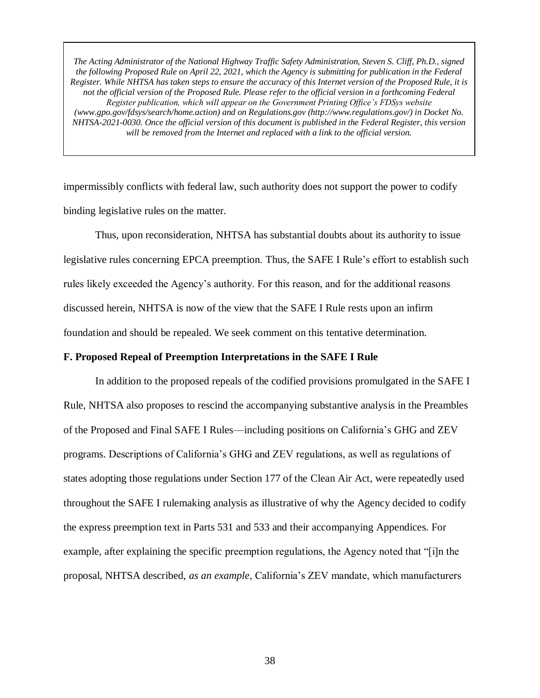impermissibly conflicts with federal law, such authority does not support the power to codify binding legislative rules on the matter.

Thus, upon reconsideration, NHTSA has substantial doubts about its authority to issue legislative rules concerning EPCA preemption. Thus, the SAFE I Rule's effort to establish such rules likely exceeded the Agency's authority. For this reason, and for the additional reasons discussed herein, NHTSA is now of the view that the SAFE I Rule rests upon an infirm foundation and should be repealed. We seek comment on this tentative determination.

#### **F. Proposed Repeal of Preemption Interpretations in the SAFE I Rule**

In addition to the proposed repeals of the codified provisions promulgated in the SAFE I Rule, NHTSA also proposes to rescind the accompanying substantive analysis in the Preambles of the Proposed and Final SAFE I Rules—including positions on California's GHG and ZEV programs. Descriptions of California's GHG and ZEV regulations, as well as regulations of states adopting those regulations under Section 177 of the Clean Air Act, were repeatedly used throughout the SAFE I rulemaking analysis as illustrative of why the Agency decided to codify the express preemption text in Parts 531 and 533 and their accompanying Appendices. For example, after explaining the specific preemption regulations, the Agency noted that "[i]n the proposal, NHTSA described, *as an example*, California's ZEV mandate, which manufacturers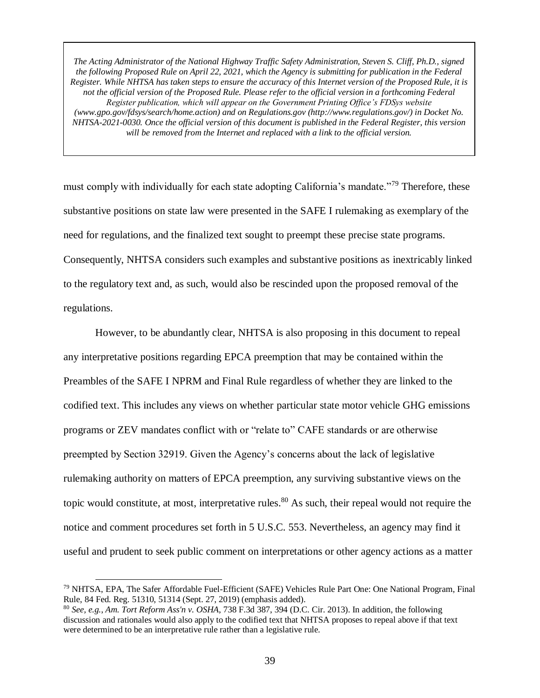must comply with individually for each state adopting California's mandate."<sup>79</sup> Therefore, these substantive positions on state law were presented in the SAFE I rulemaking as exemplary of the need for regulations, and the finalized text sought to preempt these precise state programs. Consequently, NHTSA considers such examples and substantive positions as inextricably linked to the regulatory text and, as such, would also be rescinded upon the proposed removal of the regulations.

However, to be abundantly clear, NHTSA is also proposing in this document to repeal any interpretative positions regarding EPCA preemption that may be contained within the Preambles of the SAFE I NPRM and Final Rule regardless of whether they are linked to the codified text. This includes any views on whether particular state motor vehicle GHG emissions programs or ZEV mandates conflict with or "relate to" CAFE standards or are otherwise preempted by Section 32919. Given the Agency's concerns about the lack of legislative rulemaking authority on matters of EPCA preemption, any surviving substantive views on the topic would constitute, at most, interpretative rules.<sup>80</sup> As such, their repeal would not require the notice and comment procedures set forth in 5 U.S.C. 553. Nevertheless, an agency may find it useful and prudent to seek public comment on interpretations or other agency actions as a matter

<sup>79</sup> NHTSA, EPA, The Safer Affordable Fuel-Efficient (SAFE) Vehicles Rule Part One: One National Program, Final Rule, 84 Fed. Reg. 51310, 51314 (Sept. 27, 2019) (emphasis added).

<sup>80</sup> *See, e.g.*, *Am. Tort Reform Ass'n v. OSHA*, 738 F.3d 387, 394 (D.C. Cir. 2013). In addition, the following discussion and rationales would also apply to the codified text that NHTSA proposes to repeal above if that text were determined to be an interpretative rule rather than a legislative rule.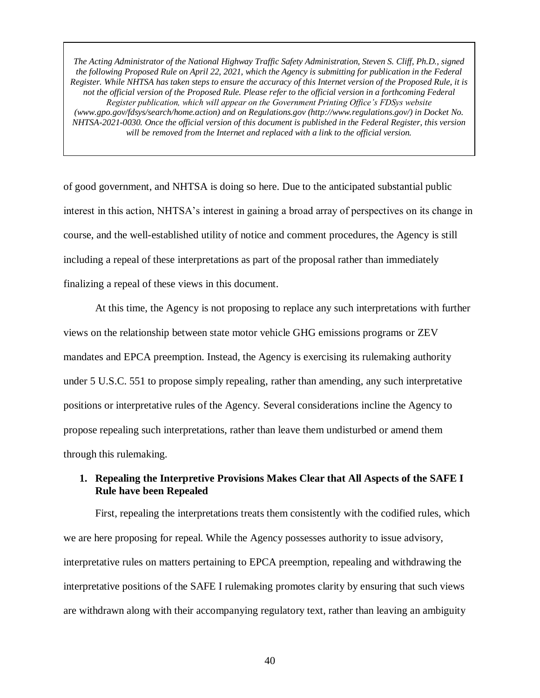of good government, and NHTSA is doing so here. Due to the anticipated substantial public interest in this action, NHTSA's interest in gaining a broad array of perspectives on its change in course, and the well-established utility of notice and comment procedures, the Agency is still including a repeal of these interpretations as part of the proposal rather than immediately finalizing a repeal of these views in this document.

At this time, the Agency is not proposing to replace any such interpretations with further views on the relationship between state motor vehicle GHG emissions programs or ZEV mandates and EPCA preemption. Instead, the Agency is exercising its rulemaking authority under 5 U.S.C. 551 to propose simply repealing, rather than amending, any such interpretative positions or interpretative rules of the Agency. Several considerations incline the Agency to propose repealing such interpretations, rather than leave them undisturbed or amend them through this rulemaking.

# **1. Repealing the Interpretive Provisions Makes Clear that All Aspects of the SAFE I Rule have been Repealed**

First, repealing the interpretations treats them consistently with the codified rules, which we are here proposing for repeal. While the Agency possesses authority to issue advisory, interpretative rules on matters pertaining to EPCA preemption, repealing and withdrawing the interpretative positions of the SAFE I rulemaking promotes clarity by ensuring that such views are withdrawn along with their accompanying regulatory text, rather than leaving an ambiguity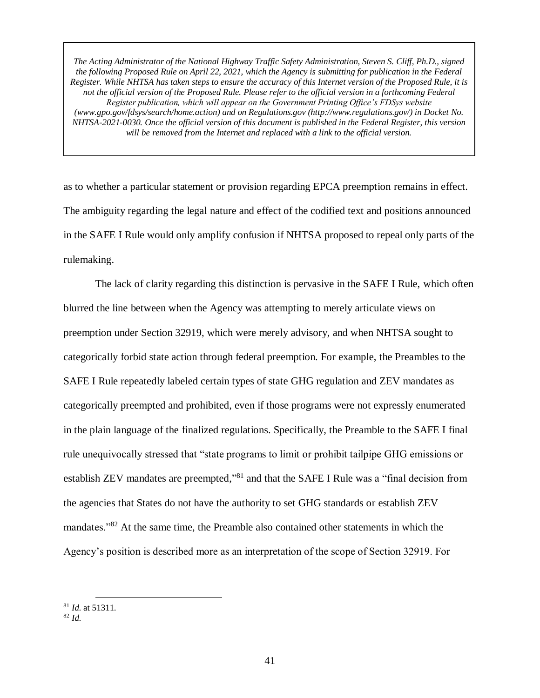as to whether a particular statement or provision regarding EPCA preemption remains in effect. The ambiguity regarding the legal nature and effect of the codified text and positions announced in the SAFE I Rule would only amplify confusion if NHTSA proposed to repeal only parts of the rulemaking.

The lack of clarity regarding this distinction is pervasive in the SAFE I Rule, which often blurred the line between when the Agency was attempting to merely articulate views on preemption under Section 32919, which were merely advisory, and when NHTSA sought to categorically forbid state action through federal preemption. For example, the Preambles to the SAFE I Rule repeatedly labeled certain types of state GHG regulation and ZEV mandates as categorically preempted and prohibited, even if those programs were not expressly enumerated in the plain language of the finalized regulations. Specifically, the Preamble to the SAFE I final rule unequivocally stressed that "state programs to limit or prohibit tailpipe GHG emissions or establish ZEV mandates are preempted,"<sup>81</sup> and that the SAFE I Rule was a "final decision from the agencies that States do not have the authority to set GHG standards or establish ZEV mandates."<sup>82</sup> At the same time, the Preamble also contained other statements in which the Agency's position is described more as an interpretation of the scope of Section 32919. For

<sup>81</sup> *Id.* at 51311.

<sup>82</sup> *Id.*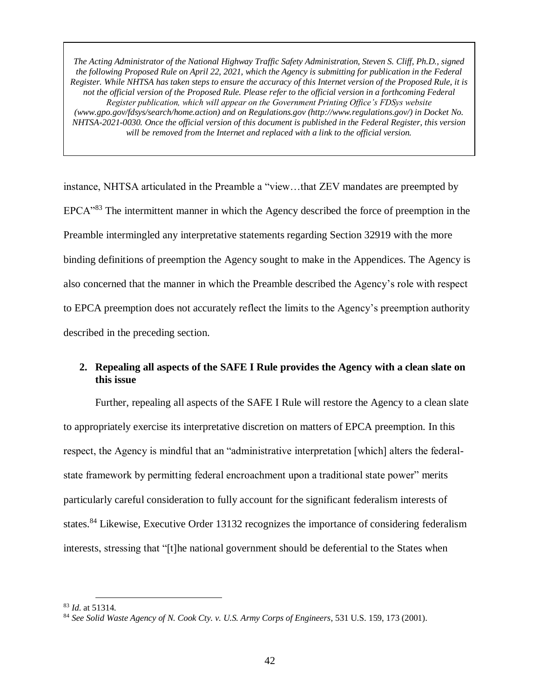instance, NHTSA articulated in the Preamble a "view…that ZEV mandates are preempted by EPCA"<sup>83</sup> The intermittent manner in which the Agency described the force of preemption in the Preamble intermingled any interpretative statements regarding Section 32919 with the more binding definitions of preemption the Agency sought to make in the Appendices. The Agency is also concerned that the manner in which the Preamble described the Agency's role with respect to EPCA preemption does not accurately reflect the limits to the Agency's preemption authority described in the preceding section.

# **2. Repealing all aspects of the SAFE I Rule provides the Agency with a clean slate on this issue**

Further, repealing all aspects of the SAFE I Rule will restore the Agency to a clean slate to appropriately exercise its interpretative discretion on matters of EPCA preemption. In this respect, the Agency is mindful that an "administrative interpretation [which] alters the federalstate framework by permitting federal encroachment upon a traditional state power" merits particularly careful consideration to fully account for the significant federalism interests of states.<sup>84</sup> Likewise, Executive Order 13132 recognizes the importance of considering federalism interests, stressing that "[t]he national government should be deferential to the States when

<sup>83</sup> *Id.* at 51314.

<sup>84</sup> *See Solid Waste Agency of N. Cook Cty. v. U.S. Army Corps of Engineers*, 531 U.S. 159, 173 (2001).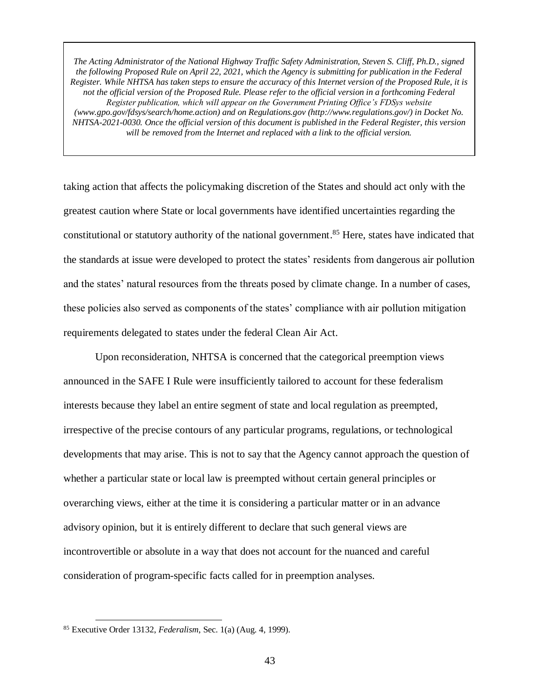taking action that affects the policymaking discretion of the States and should act only with the greatest caution where State or local governments have identified uncertainties regarding the constitutional or statutory authority of the national government. <sup>85</sup> Here, states have indicated that the standards at issue were developed to protect the states' residents from dangerous air pollution and the states' natural resources from the threats posed by climate change. In a number of cases, these policies also served as components of the states' compliance with air pollution mitigation requirements delegated to states under the federal Clean Air Act.

Upon reconsideration, NHTSA is concerned that the categorical preemption views announced in the SAFE I Rule were insufficiently tailored to account for these federalism interests because they label an entire segment of state and local regulation as preempted, irrespective of the precise contours of any particular programs, regulations, or technological developments that may arise. This is not to say that the Agency cannot approach the question of whether a particular state or local law is preempted without certain general principles or overarching views, either at the time it is considering a particular matter or in an advance advisory opinion, but it is entirely different to declare that such general views are incontrovertible or absolute in a way that does not account for the nuanced and careful consideration of program-specific facts called for in preemption analyses.

<sup>85</sup> Executive Order 13132, *Federalism*, Sec. 1(a) (Aug. 4, 1999).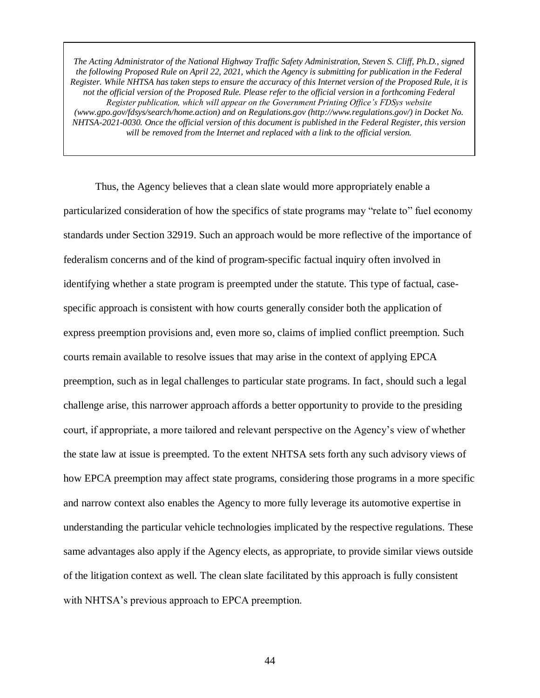Thus, the Agency believes that a clean slate would more appropriately enable a particularized consideration of how the specifics of state programs may "relate to" fuel economy standards under Section 32919. Such an approach would be more reflective of the importance of federalism concerns and of the kind of program-specific factual inquiry often involved in identifying whether a state program is preempted under the statute. This type of factual, casespecific approach is consistent with how courts generally consider both the application of express preemption provisions and, even more so, claims of implied conflict preemption. Such courts remain available to resolve issues that may arise in the context of applying EPCA preemption, such as in legal challenges to particular state programs. In fact, should such a legal challenge arise, this narrower approach affords a better opportunity to provide to the presiding court, if appropriate, a more tailored and relevant perspective on the Agency's view of whether the state law at issue is preempted. To the extent NHTSA sets forth any such advisory views of how EPCA preemption may affect state programs, considering those programs in a more specific and narrow context also enables the Agency to more fully leverage its automotive expertise in understanding the particular vehicle technologies implicated by the respective regulations. These same advantages also apply if the Agency elects, as appropriate, to provide similar views outside of the litigation context as well. The clean slate facilitated by this approach is fully consistent with NHTSA's previous approach to EPCA preemption.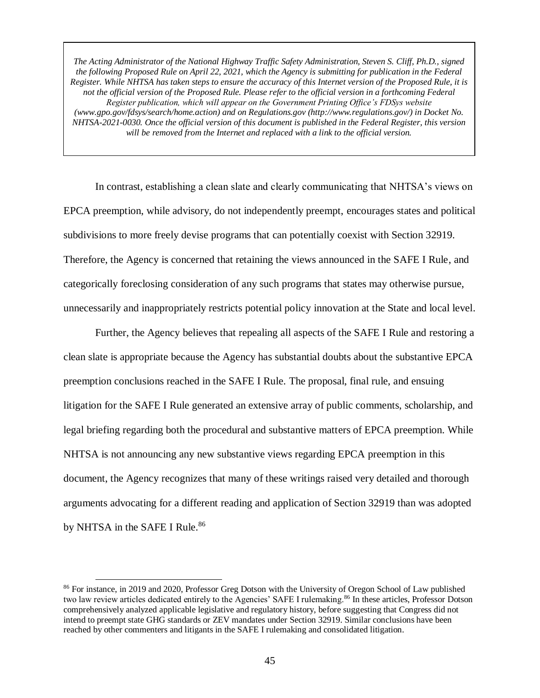In contrast, establishing a clean slate and clearly communicating that NHTSA's views on EPCA preemption, while advisory, do not independently preempt, encourages states and political subdivisions to more freely devise programs that can potentially coexist with Section 32919. Therefore, the Agency is concerned that retaining the views announced in the SAFE I Rule, and categorically foreclosing consideration of any such programs that states may otherwise pursue, unnecessarily and inappropriately restricts potential policy innovation at the State and local level.

Further, the Agency believes that repealing all aspects of the SAFE I Rule and restoring a clean slate is appropriate because the Agency has substantial doubts about the substantive EPCA preemption conclusions reached in the SAFE I Rule. The proposal, final rule, and ensuing litigation for the SAFE I Rule generated an extensive array of public comments, scholarship, and legal briefing regarding both the procedural and substantive matters of EPCA preemption. While NHTSA is not announcing any new substantive views regarding EPCA preemption in this document, the Agency recognizes that many of these writings raised very detailed and thorough arguments advocating for a different reading and application of Section 32919 than was adopted by NHTSA in the SAFE I Rule.<sup>86</sup>

<sup>&</sup>lt;sup>86</sup> For instance, in 2019 and 2020, Professor Greg Dotson with the University of Oregon School of Law published two law review articles dedicated entirely to the Agencies' SAFE I rulemaking.<sup>86</sup> In these articles, Professor Dotson comprehensively analyzed applicable legislative and regulatory history, before suggesting that Congress did not intend to preempt state GHG standards or ZEV mandates under Section 32919. Similar conclusions have been reached by other commenters and litigants in the SAFE I rulemaking and consolidated litigation.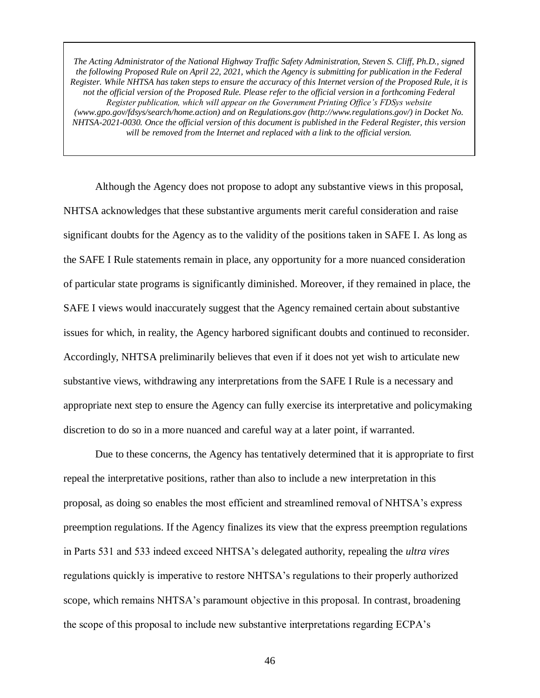Although the Agency does not propose to adopt any substantive views in this proposal, NHTSA acknowledges that these substantive arguments merit careful consideration and raise significant doubts for the Agency as to the validity of the positions taken in SAFE I. As long as the SAFE I Rule statements remain in place, any opportunity for a more nuanced consideration of particular state programs is significantly diminished. Moreover, if they remained in place, the SAFE I views would inaccurately suggest that the Agency remained certain about substantive issues for which, in reality, the Agency harbored significant doubts and continued to reconsider. Accordingly, NHTSA preliminarily believes that even if it does not yet wish to articulate new substantive views, withdrawing any interpretations from the SAFE I Rule is a necessary and appropriate next step to ensure the Agency can fully exercise its interpretative and policymaking discretion to do so in a more nuanced and careful way at a later point, if warranted.

Due to these concerns, the Agency has tentatively determined that it is appropriate to first repeal the interpretative positions, rather than also to include a new interpretation in this proposal, as doing so enables the most efficient and streamlined removal of NHTSA's express preemption regulations. If the Agency finalizes its view that the express preemption regulations in Parts 531 and 533 indeed exceed NHTSA's delegated authority, repealing the *ultra vires* regulations quickly is imperative to restore NHTSA's regulations to their properly authorized scope, which remains NHTSA's paramount objective in this proposal. In contrast, broadening the scope of this proposal to include new substantive interpretations regarding ECPA's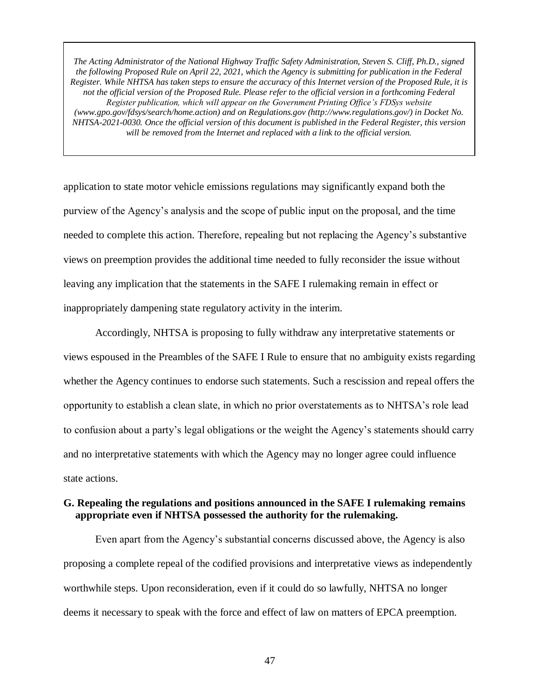application to state motor vehicle emissions regulations may significantly expand both the purview of the Agency's analysis and the scope of public input on the proposal, and the time needed to complete this action. Therefore, repealing but not replacing the Agency's substantive views on preemption provides the additional time needed to fully reconsider the issue without leaving any implication that the statements in the SAFE I rulemaking remain in effect or inappropriately dampening state regulatory activity in the interim.

Accordingly, NHTSA is proposing to fully withdraw any interpretative statements or views espoused in the Preambles of the SAFE I Rule to ensure that no ambiguity exists regarding whether the Agency continues to endorse such statements. Such a rescission and repeal offers the opportunity to establish a clean slate, in which no prior overstatements as to NHTSA's role lead to confusion about a party's legal obligations or the weight the Agency's statements should carry and no interpretative statements with which the Agency may no longer agree could influence state actions.

# **G. Repealing the regulations and positions announced in the SAFE I rulemaking remains appropriate even if NHTSA possessed the authority for the rulemaking.**

Even apart from the Agency's substantial concerns discussed above, the Agency is also proposing a complete repeal of the codified provisions and interpretative views as independently worthwhile steps. Upon reconsideration, even if it could do so lawfully, NHTSA no longer deems it necessary to speak with the force and effect of law on matters of EPCA preemption.

47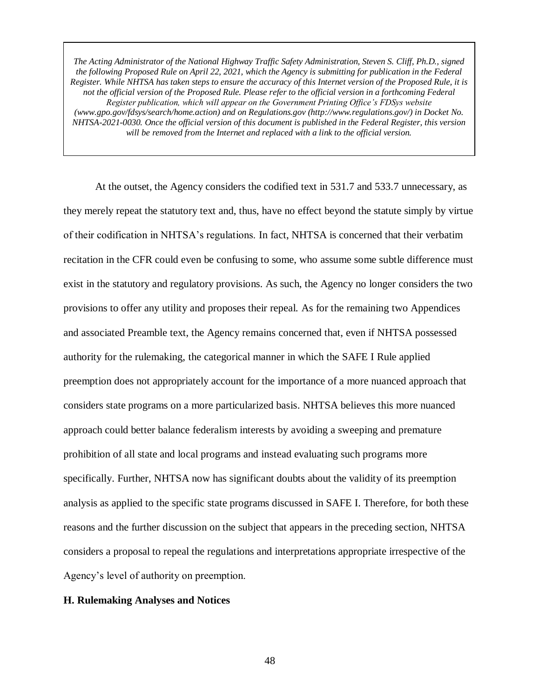At the outset, the Agency considers the codified text in 531.7 and 533.7 unnecessary, as they merely repeat the statutory text and, thus, have no effect beyond the statute simply by virtue of their codification in NHTSA's regulations. In fact, NHTSA is concerned that their verbatim recitation in the CFR could even be confusing to some, who assume some subtle difference must exist in the statutory and regulatory provisions. As such, the Agency no longer considers the two provisions to offer any utility and proposes their repeal. As for the remaining two Appendices and associated Preamble text, the Agency remains concerned that, even if NHTSA possessed authority for the rulemaking, the categorical manner in which the SAFE I Rule applied preemption does not appropriately account for the importance of a more nuanced approach that considers state programs on a more particularized basis. NHTSA believes this more nuanced approach could better balance federalism interests by avoiding a sweeping and premature prohibition of all state and local programs and instead evaluating such programs more specifically. Further, NHTSA now has significant doubts about the validity of its preemption analysis as applied to the specific state programs discussed in SAFE I. Therefore, for both these reasons and the further discussion on the subject that appears in the preceding section, NHTSA considers a proposal to repeal the regulations and interpretations appropriate irrespective of the Agency's level of authority on preemption.

#### **H. Rulemaking Analyses and Notices**

48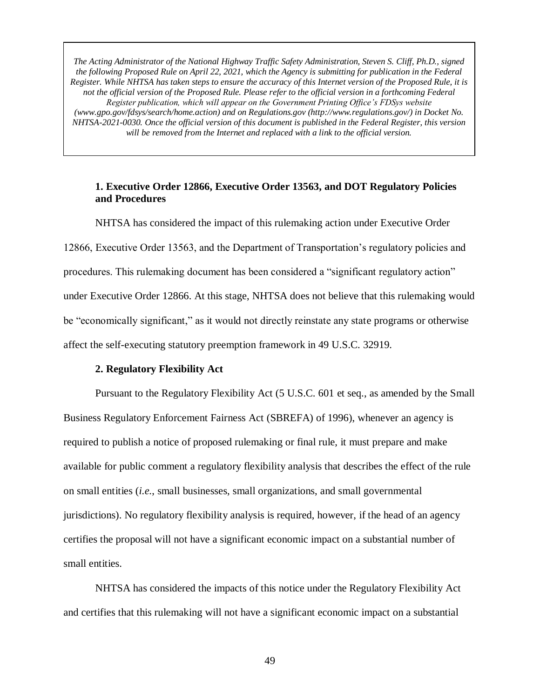## **1. Executive Order 12866, Executive Order 13563, and DOT Regulatory Policies and Procedures**

NHTSA has considered the impact of this rulemaking action under Executive Order 12866, Executive Order 13563, and the Department of Transportation's regulatory policies and procedures. This rulemaking document has been considered a "significant regulatory action" under Executive Order 12866. At this stage, NHTSA does not believe that this rulemaking would be "economically significant," as it would not directly reinstate any state programs or otherwise affect the self-executing statutory preemption framework in 49 U.S.C. 32919.

### **2. Regulatory Flexibility Act**

Pursuant to the Regulatory Flexibility Act (5 U.S.C. 601 et seq., as amended by the Small Business Regulatory Enforcement Fairness Act (SBREFA) of 1996), whenever an agency is required to publish a notice of proposed rulemaking or final rule, it must prepare and make available for public comment a regulatory flexibility analysis that describes the effect of the rule on small entities (*i.e.*, small businesses, small organizations, and small governmental jurisdictions). No regulatory flexibility analysis is required, however, if the head of an agency certifies the proposal will not have a significant economic impact on a substantial number of small entities.

NHTSA has considered the impacts of this notice under the Regulatory Flexibility Act and certifies that this rulemaking will not have a significant economic impact on a substantial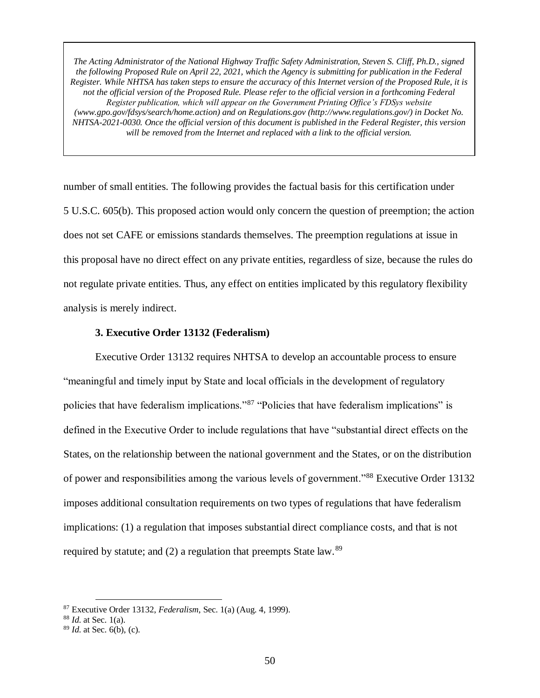number of small entities. The following provides the factual basis for this certification under 5 U.S.C. 605(b). This proposed action would only concern the question of preemption; the action does not set CAFE or emissions standards themselves. The preemption regulations at issue in this proposal have no direct effect on any private entities, regardless of size, because the rules do not regulate private entities. Thus, any effect on entities implicated by this regulatory flexibility analysis is merely indirect.

### **3. Executive Order 13132 (Federalism)**

Executive Order 13132 requires NHTSA to develop an accountable process to ensure "meaningful and timely input by State and local officials in the development of regulatory policies that have federalism implications."<sup>87</sup> "Policies that have federalism implications" is defined in the Executive Order to include regulations that have "substantial direct effects on the States, on the relationship between the national government and the States, or on the distribution of power and responsibilities among the various levels of government."<sup>88</sup> Executive Order 13132 imposes additional consultation requirements on two types of regulations that have federalism implications: (1) a regulation that imposes substantial direct compliance costs, and that is not required by statute; and  $(2)$  a regulation that preempts State law.<sup>89</sup>

<sup>87</sup> Executive Order 13132, *Federalism*, Sec. 1(a) (Aug. 4, 1999).

<sup>88</sup> *Id.* at Sec. 1(a).

<sup>89</sup> *Id.* at Sec. 6(b), (c).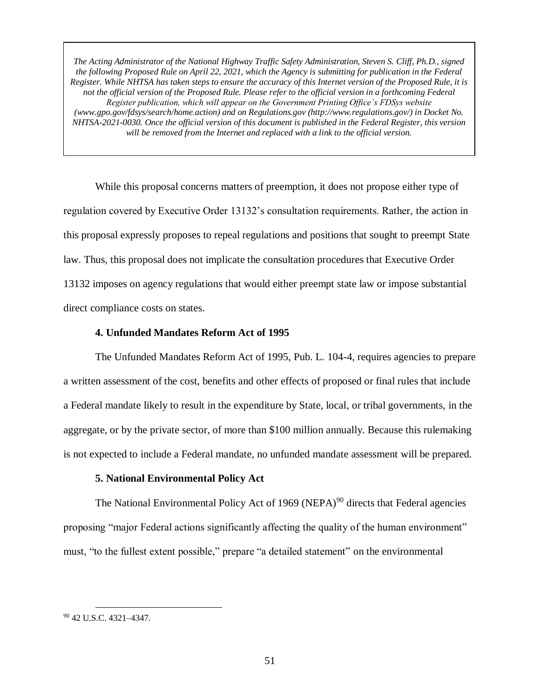While this proposal concerns matters of preemption, it does not propose either type of regulation covered by Executive Order 13132's consultation requirements. Rather, the action in this proposal expressly proposes to repeal regulations and positions that sought to preempt State law. Thus, this proposal does not implicate the consultation procedures that Executive Order 13132 imposes on agency regulations that would either preempt state law or impose substantial direct compliance costs on states.

### **4. Unfunded Mandates Reform Act of 1995**

The Unfunded Mandates Reform Act of 1995, Pub. L. 104-4, requires agencies to prepare a written assessment of the cost, benefits and other effects of proposed or final rules that include a Federal mandate likely to result in the expenditure by State, local, or tribal governments, in the aggregate, or by the private sector, of more than \$100 million annually. Because this rulemaking is not expected to include a Federal mandate, no unfunded mandate assessment will be prepared.

### **5. National Environmental Policy Act**

The National Environmental Policy Act of 1969 (NEPA)<sup>90</sup> directs that Federal agencies proposing "major Federal actions significantly affecting the quality of the human environment" must, "to the fullest extent possible," prepare "a detailed statement" on the environmental

<sup>90</sup> 42 U.S.C. 4321–4347.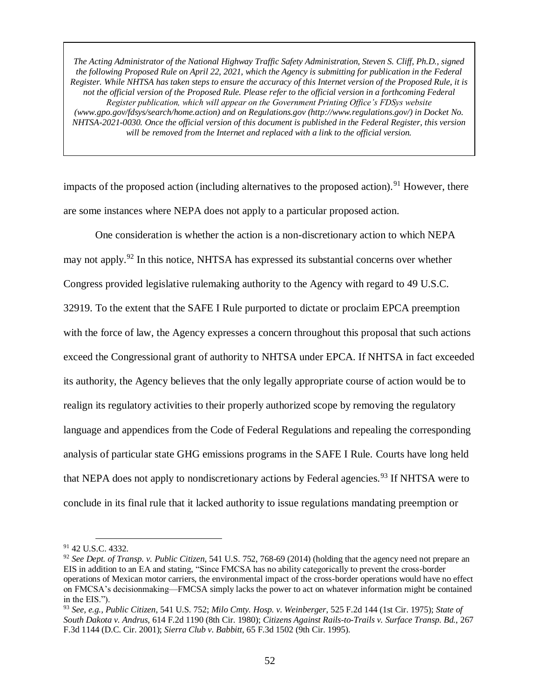impacts of the proposed action (including alternatives to the proposed action).<sup>91</sup> However, there are some instances where NEPA does not apply to a particular proposed action.

One consideration is whether the action is a non-discretionary action to which NEPA may not apply.<sup>92</sup> In this notice, NHTSA has expressed its substantial concerns over whether Congress provided legislative rulemaking authority to the Agency with regard to 49 U.S.C. 32919. To the extent that the SAFE I Rule purported to dictate or proclaim EPCA preemption with the force of law, the Agency expresses a concern throughout this proposal that such actions exceed the Congressional grant of authority to NHTSA under EPCA. If NHTSA in fact exceeded its authority, the Agency believes that the only legally appropriate course of action would be to realign its regulatory activities to their properly authorized scope by removing the regulatory language and appendices from the Code of Federal Regulations and repealing the corresponding analysis of particular state GHG emissions programs in the SAFE I Rule. Courts have long held that NEPA does not apply to nondiscretionary actions by Federal agencies.<sup>93</sup> If NHTSA were to conclude in its final rule that it lacked authority to issue regulations mandating preemption or

 $\overline{a}$ <sup>91</sup> 42 U.S.C. 4332.

<sup>92</sup> *See Dept. of Transp. v. Public Citizen*, 541 U.S. 752, 768-69 (2014) (holding that the agency need not prepare an EIS in addition to an EA and stating, "Since FMCSA has no ability categorically to prevent the cross-border operations of Mexican motor carriers, the environmental impact of the cross-border operations would have no effect on FMCSA's decisionmaking—FMCSA simply lacks the power to act on whatever information might be contained in the EIS.").

<sup>93</sup> *See, e.g., Public Citizen*, 541 U.S. 752; *Milo Cmty. Hosp. v. Weinberger*, 525 F.2d 144 (1st Cir. 1975); *State of South Dakota v. Andrus*, 614 F.2d 1190 (8th Cir. 1980); *Citizens Against Rails-to-Trails v. Surface Transp. Bd.*, 267 F.3d 1144 (D.C. Cir. 2001); *Sierra Club v. Babbitt*, 65 F.3d 1502 (9th Cir. 1995).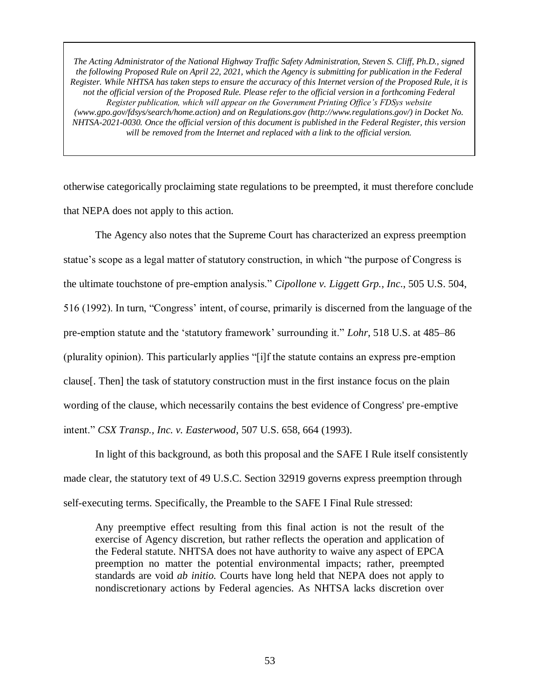otherwise categorically proclaiming state regulations to be preempted, it must therefore conclude that NEPA does not apply to this action.

The Agency also notes that the Supreme Court has characterized an express preemption statue's scope as a legal matter of statutory construction, in which "the purpose of Congress is the ultimate touchstone of pre-emption analysis." *Cipollone v. Liggett Grp., Inc*., 505 U.S. 504, 516 (1992). In turn, "Congress' intent, of course, primarily is discerned from the language of the pre-emption statute and the 'statutory framework' surrounding it." *Lohr*, 518 U.S. at 485–86 (plurality opinion). This particularly applies "[i]f the statute contains an express pre-emption clause[. Then] the task of statutory construction must in the first instance focus on the plain wording of the clause, which necessarily contains the best evidence of Congress' pre-emptive intent." *CSX Transp., Inc. v. Easterwood*, 507 U.S. 658, 664 (1993).

In light of this background, as both this proposal and the SAFE I Rule itself consistently made clear, the statutory text of 49 U.S.C. Section 32919 governs express preemption through self-executing terms. Specifically, the Preamble to the SAFE I Final Rule stressed:

Any preemptive effect resulting from this final action is not the result of the exercise of Agency discretion, but rather reflects the operation and application of the Federal statute. NHTSA does not have authority to waive any aspect of EPCA preemption no matter the potential environmental impacts; rather, preempted standards are void *ab initio.* Courts have long held that NEPA does not apply to nondiscretionary actions by Federal agencies. As NHTSA lacks discretion over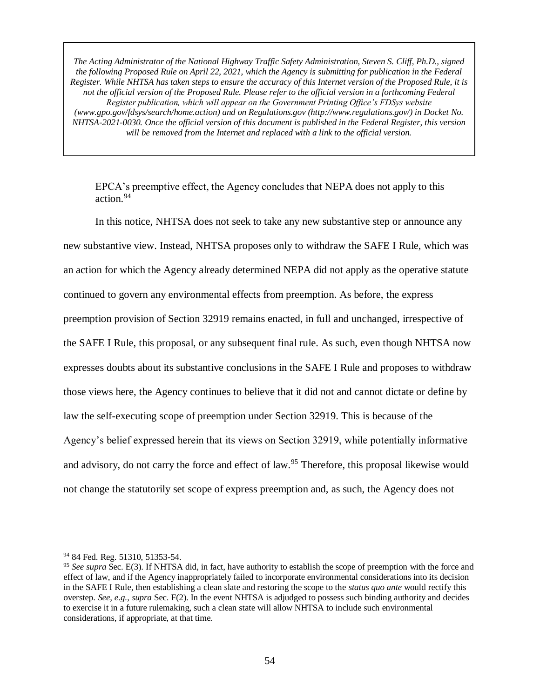EPCA's preemptive effect, the Agency concludes that NEPA does not apply to this action.<sup>94</sup>

In this notice, NHTSA does not seek to take any new substantive step or announce any new substantive view. Instead, NHTSA proposes only to withdraw the SAFE I Rule, which was an action for which the Agency already determined NEPA did not apply as the operative statute continued to govern any environmental effects from preemption. As before, the express preemption provision of Section 32919 remains enacted, in full and unchanged, irrespective of the SAFE I Rule, this proposal, or any subsequent final rule. As such, even though NHTSA now expresses doubts about its substantive conclusions in the SAFE I Rule and proposes to withdraw those views here, the Agency continues to believe that it did not and cannot dictate or define by law the self-executing scope of preemption under Section 32919. This is because of the Agency's belief expressed herein that its views on Section 32919, while potentially informative and advisory, do not carry the force and effect of law.<sup>95</sup> Therefore, this proposal likewise would not change the statutorily set scope of express preemption and, as such, the Agency does not

<sup>&</sup>lt;sup>94</sup> 84 Fed. Reg. 51310, 51353-54.

<sup>&</sup>lt;sup>95</sup> See supra Sec. E(3). If NHTSA did, in fact, have authority to establish the scope of preemption with the force and effect of law, and if the Agency inappropriately failed to incorporate environmental considerations into its decision in the SAFE I Rule, then establishing a clean slate and restoring the scope to the *status quo ante* would rectify this overstep. *See, e.g.*, *supra* Sec. F(2). In the event NHTSA is adjudged to possess such binding authority and decides to exercise it in a future rulemaking, such a clean state will allow NHTSA to include such environmental considerations, if appropriate, at that time.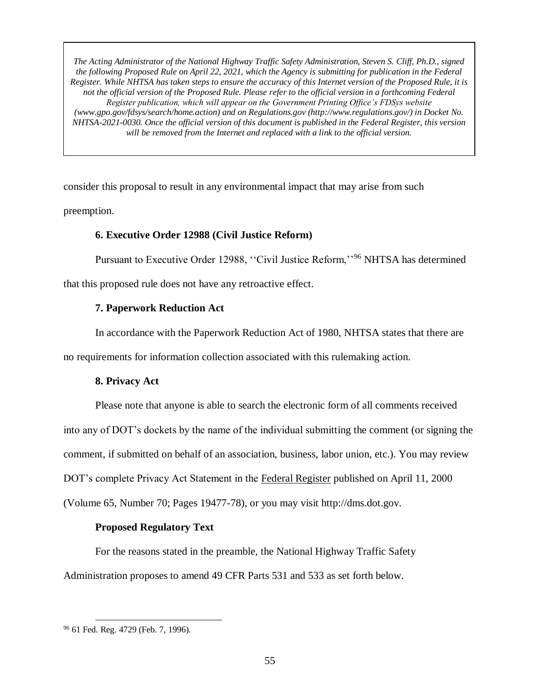consider this proposal to result in any environmental impact that may arise from such preemption.

### **6. Executive Order 12988 (Civil Justice Reform)**

Pursuant to Executive Order 12988, ''Civil Justice Reform,''<sup>96</sup> NHTSA has determined

that this proposed rule does not have any retroactive effect.

## **7. Paperwork Reduction Act**

In accordance with the Paperwork Reduction Act of 1980, NHTSA states that there are no requirements for information collection associated with this rulemaking action.

## **8. Privacy Act**

Please note that anyone is able to search the electronic form of all comments received into any of DOT's dockets by the name of the individual submitting the comment (or signing the comment, if submitted on behalf of an association, business, labor union, etc.). You may review DOT's complete Privacy Act Statement in the Federal Register published on April 11, 2000 (Volume 65, Number 70; Pages 19477-78), or you may visit http://dms.dot.gov.

## **Proposed Regulatory Text**

For the reasons stated in the preamble, the National Highway Traffic Safety Administration proposes to amend 49 CFR Parts 531 and 533 as set forth below.

 $\overline{a}$ <sup>96</sup> 61 Fed. Reg. 4729 (Feb. 7, 1996).